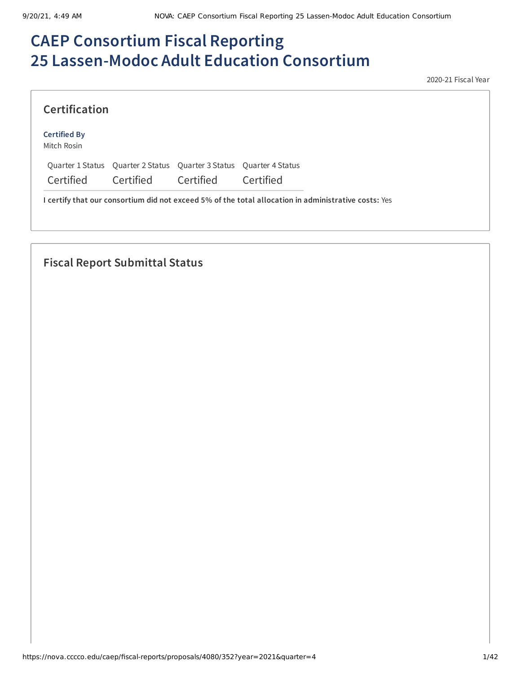# **CAEP Consortium Fiscal Reporting 25 Lassen-Modoc Adult Education Consortium**

2020-21 Fiscal Year

| <b>Certification</b>               |                                                                     |           |           |
|------------------------------------|---------------------------------------------------------------------|-----------|-----------|
| <b>Certified By</b><br>Mitch Rosin |                                                                     |           |           |
|                                    | Quarter 1 Status Quarter 2 Status Quarter 3 Status Quarter 4 Status |           |           |
| Certified                          | <b>Certified</b>                                                    | Certified | Certified |

## **Fiscal Report Submittal Status**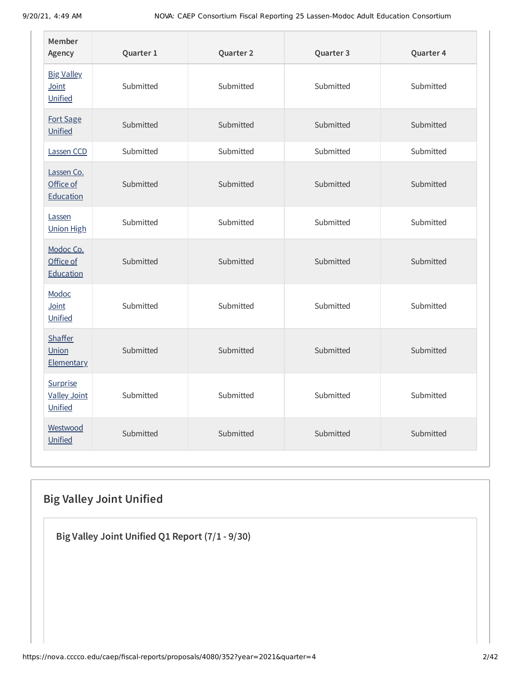| Member<br>Agency                             | Quarter 1 | Quarter 2 | Quarter 3 | Quarter 4 |
|----------------------------------------------|-----------|-----------|-----------|-----------|
| <b>Big Valley</b><br>Joint<br>Unified        | Submitted | Submitted | Submitted | Submitted |
| Fort Sage<br>Unified                         | Submitted | Submitted | Submitted | Submitted |
| Lassen CCD                                   | Submitted | Submitted | Submitted | Submitted |
| Lassen Co.<br>Office of<br>Education         | Submitted | Submitted | Submitted | Submitted |
| Lassen<br><b>Union High</b>                  | Submitted | Submitted | Submitted | Submitted |
| Modoc Co.<br>Office of<br>Education          | Submitted | Submitted | Submitted | Submitted |
| Modoc<br>Joint<br>Unified                    | Submitted | Submitted | Submitted | Submitted |
| <b>Shaffer</b><br>Union<br><b>Elementary</b> | Submitted | Submitted | Submitted | Submitted |
| Surprise<br><b>Valley Joint</b><br>Unified   | Submitted | Submitted | Submitted | Submitted |
| Westwood<br>Unified                          | Submitted | Submitted | Submitted | Submitted |

## **Big Valley Joint Unified**

**Big Valley Joint Unified Q1 Report (7/1 - 9/30)**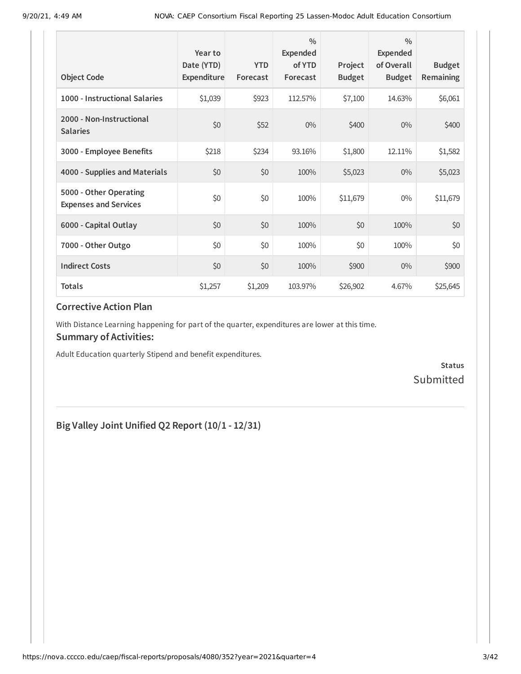| <b>Object Code</b>                                     | Year to<br>Date (YTD)<br>Expenditure | <b>YTD</b><br>Forecast | $\frac{0}{0}$<br>Expended<br>of YTD<br>Forecast | Project<br><b>Budget</b> | $\frac{0}{0}$<br><b>Expended</b><br>of Overall<br><b>Budget</b> | <b>Budget</b><br><b>Remaining</b> |
|--------------------------------------------------------|--------------------------------------|------------------------|-------------------------------------------------|--------------------------|-----------------------------------------------------------------|-----------------------------------|
| 1000 - Instructional Salaries                          | \$1,039                              | \$923                  | 112.57%                                         | \$7,100                  | 14.63%                                                          | \$6,061                           |
| 2000 - Non-Instructional<br><b>Salaries</b>            | \$0                                  | \$52                   | $0\%$                                           | \$400                    | $0\%$                                                           | \$400                             |
| 3000 - Employee Benefits                               | \$218                                | \$234                  | 93.16%                                          | \$1,800                  | 12.11%                                                          | \$1,582                           |
| 4000 - Supplies and Materials                          | \$0                                  | \$0                    | 100%                                            | \$5,023                  | $0\%$                                                           | \$5,023                           |
| 5000 - Other Operating<br><b>Expenses and Services</b> | \$0                                  | \$0                    | 100%                                            | \$11,679                 | $0\%$                                                           | \$11,679                          |
| 6000 - Capital Outlay                                  | \$0                                  | \$0                    | 100%                                            | \$0                      | 100%                                                            | \$0                               |
| 7000 - Other Outgo                                     | \$0                                  | \$0                    | 100%                                            | \$0                      | 100%                                                            | \$0                               |
| <b>Indirect Costs</b>                                  | \$0                                  | \$0                    | 100%                                            | \$900                    | $0\%$                                                           | \$900                             |
| <b>Totals</b>                                          | \$1,257                              | \$1,209                | 103.97%                                         | \$26,902                 | 4.67%                                                           | \$25,645                          |

With Distance Learning happening for part of the quarter, expenditures are lower at this time.

#### **Summary of Activities:**

Adult Education quarterly Stipend and benefit expenditures.

**Status** Submitted

## **Big Valley Joint Unified Q2 Report (10/1 - 12/31)**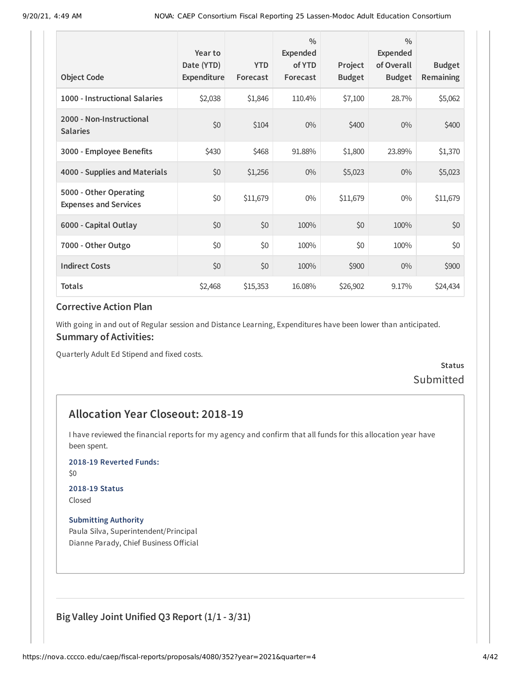| <b>Object Code</b>                                     | Year to<br>Date (YTD)<br>Expenditure | <b>YTD</b><br>Forecast | $\frac{0}{0}$<br>Expended<br>of YTD<br>Forecast | Project<br><b>Budget</b> | $\frac{0}{0}$<br><b>Expended</b><br>of Overall<br><b>Budget</b> | <b>Budget</b><br>Remaining |
|--------------------------------------------------------|--------------------------------------|------------------------|-------------------------------------------------|--------------------------|-----------------------------------------------------------------|----------------------------|
| 1000 - Instructional Salaries                          | \$2,038                              | \$1,846                | 110.4%                                          | \$7,100                  | 28.7%                                                           | \$5,062                    |
| 2000 - Non-Instructional<br><b>Salaries</b>            | \$0                                  | \$104                  | $0\%$                                           | \$400                    | $0\%$                                                           | \$400                      |
| 3000 - Employee Benefits                               | \$430                                | \$468                  | 91.88%                                          | \$1,800                  | 23.89%                                                          | \$1,370                    |
| 4000 - Supplies and Materials                          | \$0                                  | \$1,256                | $0\%$                                           | \$5,023                  | $0\%$                                                           | \$5,023                    |
| 5000 - Other Operating<br><b>Expenses and Services</b> | \$0                                  | \$11,679               | $0\%$                                           | \$11,679                 | $0\%$                                                           | \$11,679                   |
| 6000 - Capital Outlay                                  | \$0                                  | \$0                    | 100%                                            | \$0                      | 100%                                                            | \$0                        |
| 7000 - Other Outgo                                     | \$0                                  | \$0                    | 100%                                            | \$0                      | 100%                                                            | \$0                        |
| <b>Indirect Costs</b>                                  | \$0                                  | \$0                    | 100%                                            | \$900                    | $0\%$                                                           | \$900                      |
| <b>Totals</b>                                          | \$2,468                              | \$15,353               | 16.08%                                          | \$26,902                 | 9.17%                                                           | \$24,434                   |

With going in and out of Regular session and Distance Learning, Expenditures have been lower than anticipated. **Summary of Activities:**

Quarterly Adult Ed Stipend and fixed costs.

**Status** Submitted

### **Allocation Year Closeout: 2018-19**

I have reviewed the financial reports for my agency and confirm that all funds for this allocation year have been spent.

#### **2018-19 Reverted Funds:**

\$0

### **2018-19 Status**

Closed

#### **Submitting Authority**

Paula Silva, Superintendent/Principal Dianne Parady, Chief Business Official

### **Big Valley Joint Unified Q3 Report (1/1 - 3/31)**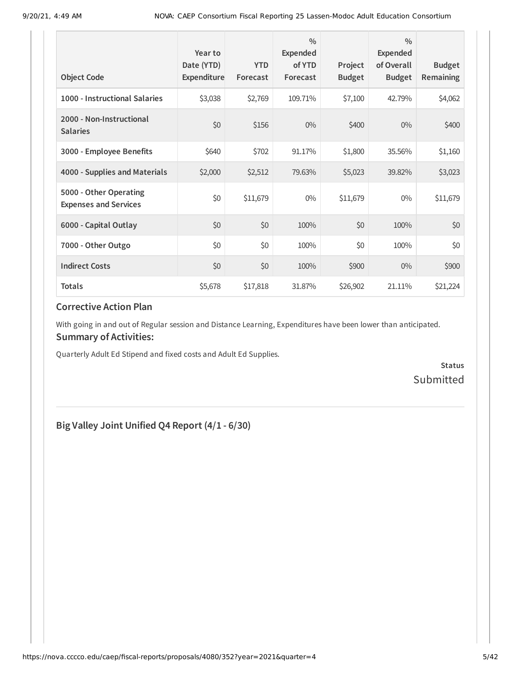| <b>Object Code</b>                                     | Year to<br>Date (YTD)<br>Expenditure | <b>YTD</b><br>Forecast | $\frac{0}{0}$<br>Expended<br>of YTD<br>Forecast | Project<br><b>Budget</b> | $\frac{0}{0}$<br><b>Expended</b><br>of Overall<br><b>Budget</b> | <b>Budget</b><br>Remaining |
|--------------------------------------------------------|--------------------------------------|------------------------|-------------------------------------------------|--------------------------|-----------------------------------------------------------------|----------------------------|
| 1000 - Instructional Salaries                          | \$3,038                              | \$2,769                | 109.71%                                         | \$7,100                  | 42.79%                                                          | \$4,062                    |
| 2000 - Non-Instructional<br><b>Salaries</b>            | \$0                                  | \$156                  | $0\%$                                           | \$400                    | $0\%$                                                           | \$400                      |
| 3000 - Employee Benefits                               | \$640                                | \$702                  | 91.17%                                          | \$1,800                  | 35.56%                                                          | \$1,160                    |
| 4000 - Supplies and Materials                          | \$2,000                              | \$2,512                | 79.63%                                          | \$5,023                  | 39.82%                                                          | \$3,023                    |
| 5000 - Other Operating<br><b>Expenses and Services</b> | \$0                                  | \$11,679               | $0\%$                                           | \$11,679                 | 0%                                                              | \$11,679                   |
| 6000 - Capital Outlay                                  | \$0                                  | \$0                    | 100%                                            | \$0                      | 100%                                                            | \$0                        |
| 7000 - Other Outgo                                     | \$0                                  | \$0                    | 100%                                            | \$0                      | 100%                                                            | \$0                        |
| <b>Indirect Costs</b>                                  | \$0                                  | \$0                    | 100%                                            | \$900                    | $0\%$                                                           | \$900                      |
| Totals                                                 | \$5,678                              | \$17,818               | 31.87%                                          | \$26,902                 | 21.11%                                                          | \$21,224                   |

With going in and out of Regular session and Distance Learning, Expenditures have been lower than anticipated. **Summary of Activities:**

Quarterly Adult Ed Stipend and fixed costs and Adult Ed Supplies.

**Status** Submitted

## **Big Valley Joint Unified Q4 Report (4/1 - 6/30)**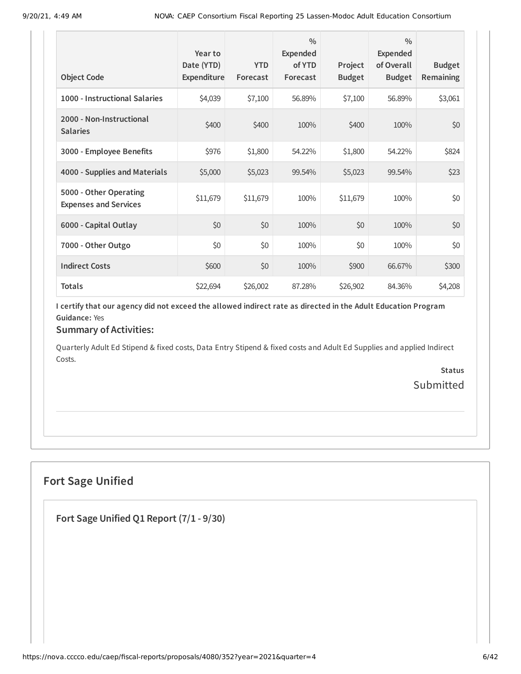| <b>Object Code</b>                                     | Year to<br>Date (YTD)<br>Expenditure | <b>YTD</b><br>Forecast | $\frac{0}{0}$<br><b>Expended</b><br>of YTD<br>Forecast | Project<br><b>Budget</b> | $\frac{0}{0}$<br><b>Expended</b><br>of Overall<br><b>Budget</b> | <b>Budget</b><br><b>Remaining</b> |
|--------------------------------------------------------|--------------------------------------|------------------------|--------------------------------------------------------|--------------------------|-----------------------------------------------------------------|-----------------------------------|
| 1000 - Instructional Salaries                          | \$4,039                              | \$7,100                | 56.89%                                                 | \$7,100                  | 56.89%                                                          | \$3,061                           |
| 2000 - Non-Instructional<br><b>Salaries</b>            | \$400                                | \$400                  | 100%                                                   | \$400                    | 100%                                                            | \$0                               |
| 3000 - Employee Benefits                               | \$976                                | \$1,800                | 54.22%                                                 | \$1,800                  | 54.22%                                                          | \$824                             |
| 4000 - Supplies and Materials                          | \$5,000                              | \$5,023                | 99.54%                                                 | \$5,023                  | 99.54%                                                          | \$23                              |
| 5000 - Other Operating<br><b>Expenses and Services</b> | \$11,679                             | \$11,679               | 100%                                                   | \$11,679                 | 100%                                                            | \$0                               |
| 6000 - Capital Outlay                                  | \$0                                  | \$0                    | 100%                                                   | \$0                      | 100%                                                            | \$0                               |
| 7000 - Other Outgo                                     | \$0                                  | \$0                    | 100%                                                   | \$0                      | 100%                                                            | \$0                               |
| <b>Indirect Costs</b>                                  | \$600                                | \$0                    | 100%                                                   | \$900                    | 66.67%                                                          | \$300                             |
| <b>Totals</b>                                          | \$22,694                             | \$26,002               | 87.28%                                                 | \$26,902                 | 84.36%                                                          | \$4,208                           |

### **Summary of Activities:**

Quarterly Adult Ed Stipend & fixed costs, Data Entry Stipend & fixed costs and Adult Ed Supplies and applied Indirect Costs.

> **Status** Submitted

## **Fort Sage Unified**

**Fort Sage Unified Q1 Report (7/1 - 9/30)**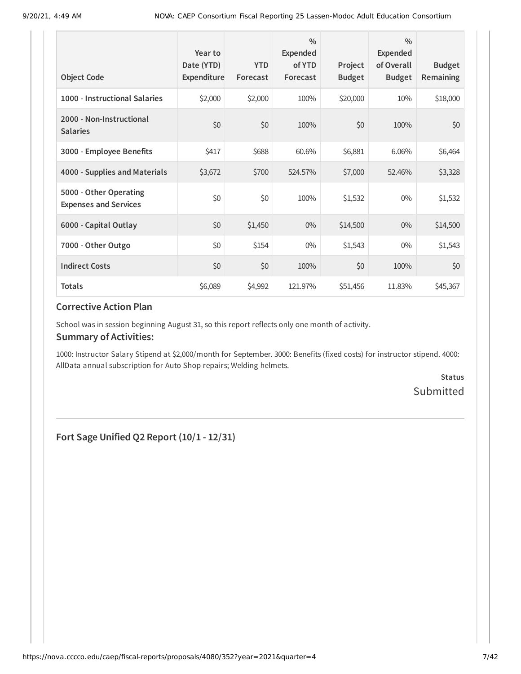| <b>Object Code</b>                                     | Year to<br>Date (YTD)<br>Expenditure | <b>YTD</b><br>Forecast | $\frac{0}{0}$<br><b>Expended</b><br>of YTD<br>Forecast | Project<br><b>Budget</b> | $\frac{0}{0}$<br>Expended<br>of Overall<br><b>Budget</b> | <b>Budget</b><br><b>Remaining</b> |
|--------------------------------------------------------|--------------------------------------|------------------------|--------------------------------------------------------|--------------------------|----------------------------------------------------------|-----------------------------------|
| 1000 - Instructional Salaries                          | \$2,000                              | \$2,000                | 100%                                                   | \$20,000                 | 10%                                                      | \$18,000                          |
| 2000 - Non-Instructional<br><b>Salaries</b>            | \$0                                  | \$0                    | 100%                                                   | \$0                      | 100%                                                     | \$0                               |
| 3000 - Employee Benefits                               | \$417                                | \$688                  | 60.6%                                                  | \$6,881                  | 6.06%                                                    | \$6,464                           |
| 4000 - Supplies and Materials                          | \$3,672                              | \$700                  | 524.57%                                                | \$7,000                  | 52.46%                                                   | \$3,328                           |
| 5000 - Other Operating<br><b>Expenses and Services</b> | \$0                                  | \$0                    | 100%                                                   | \$1,532                  | $0\%$                                                    | \$1,532                           |
| 6000 - Capital Outlay                                  | \$0                                  | \$1,450                | $0\%$                                                  | \$14,500                 | $0\%$                                                    | \$14,500                          |
| 7000 - Other Outgo                                     | \$0                                  | \$154                  | $0\%$                                                  | \$1,543                  | $0\%$                                                    | \$1,543                           |
| <b>Indirect Costs</b>                                  | \$0                                  | \$0                    | 100%                                                   | \$0                      | 100%                                                     | \$0                               |
| <b>Totals</b>                                          | \$6,089                              | \$4,992                | 121.97%                                                | \$51,456                 | 11.83%                                                   | \$45,367                          |

School was in session beginning August 31, so this report reflects only one month of activity.

#### **Summary of Activities:**

1000: Instructor Salary Stipend at \$2,000/month for September. 3000: Benefits (fixed costs) for instructor stipend. 4000: AllData annual subscription for Auto Shop repairs; Welding helmets.

> **Status** Submitted

**Fort Sage Unified Q2 Report (10/1 - 12/31)**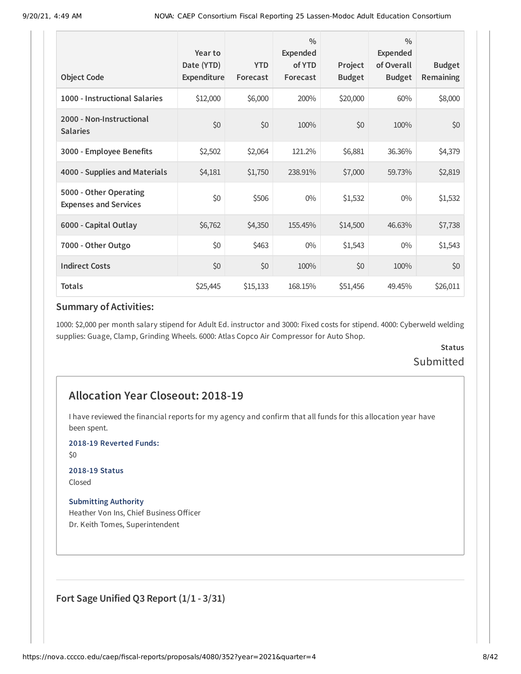| <b>Object Code</b>                                     | Year to<br>Date (YTD)<br>Expenditure | <b>YTD</b><br>Forecast | $\frac{0}{0}$<br>Expended<br>of YTD<br>Forecast | Project<br><b>Budget</b> | $\frac{0}{0}$<br><b>Expended</b><br>of Overall<br><b>Budget</b> | <b>Budget</b><br>Remaining |
|--------------------------------------------------------|--------------------------------------|------------------------|-------------------------------------------------|--------------------------|-----------------------------------------------------------------|----------------------------|
| 1000 - Instructional Salaries                          | \$12,000                             | \$6,000                | 200%                                            | \$20,000                 | 60%                                                             | \$8,000                    |
| 2000 - Non-Instructional<br><b>Salaries</b>            | \$0                                  | \$0                    | 100%                                            | \$0                      | 100%                                                            | \$0                        |
| 3000 - Employee Benefits                               | \$2,502                              | \$2,064                | 121.2%                                          | \$6,881                  | 36.36%                                                          | \$4,379                    |
| 4000 - Supplies and Materials                          | \$4,181                              | \$1,750                | 238.91%                                         | \$7,000                  | 59.73%                                                          | \$2,819                    |
| 5000 - Other Operating<br><b>Expenses and Services</b> | \$0                                  | \$506                  | $0\%$                                           | \$1,532                  | $0\%$                                                           | \$1,532                    |
| 6000 - Capital Outlay                                  | \$6,762                              | \$4,350                | 155.45%                                         | \$14,500                 | 46.63%                                                          | \$7,738                    |
| 7000 - Other Outgo                                     | \$0                                  | \$463                  | $0\%$                                           | \$1,543                  | $0\%$                                                           | \$1,543                    |
| <b>Indirect Costs</b>                                  | \$0                                  | \$0                    | 100%                                            | \$0                      | 100%                                                            | \$0                        |
| <b>Totals</b>                                          | \$25,445                             | \$15,133               | 168.15%                                         | \$51,456                 | 49.45%                                                          | \$26,011                   |

1000: \$2,000 per month salary stipend for Adult Ed. instructor and 3000: Fixed costs for stipend. 4000: Cyberweld welding supplies: Guage, Clamp, Grinding Wheels. 6000: Atlas Copco Air Compressor for Auto Shop.

### **Status** Submitted

### **Allocation Year Closeout: 2018-19**

I have reviewed the financial reports for my agency and confirm that all funds for this allocation year have been spent.

**2018-19 Reverted Funds:**

\$0

### **2018-19 Status**

Closed

#### **Submitting Authority**

Heather Von Ins, Chief Business Officer Dr. Keith Tomes, Superintendent

**Fort Sage Unified Q3 Report (1/1 - 3/31)**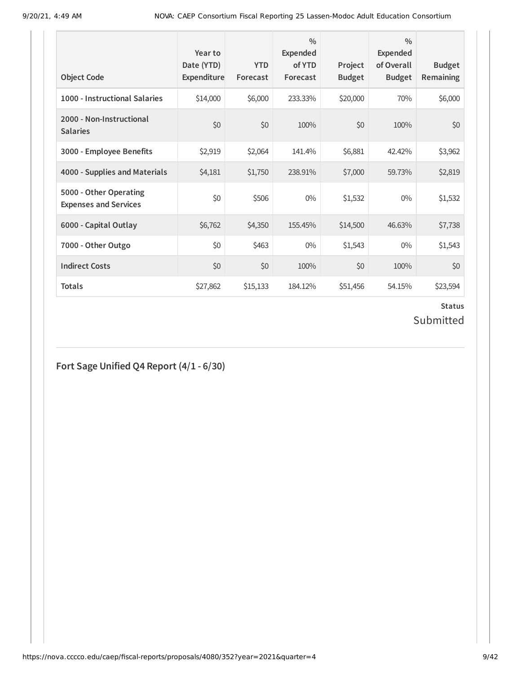| <b>Object Code</b>                                     | Year to<br>Date (YTD)<br>Expenditure | <b>YTD</b><br>Forecast | $\frac{0}{0}$<br>Expended<br>of YTD<br>Forecast | Project<br><b>Budget</b> | $\frac{0}{0}$<br><b>Expended</b><br>of Overall<br><b>Budget</b> | <b>Budget</b><br><b>Remaining</b> |
|--------------------------------------------------------|--------------------------------------|------------------------|-------------------------------------------------|--------------------------|-----------------------------------------------------------------|-----------------------------------|
| 1000 - Instructional Salaries                          | \$14,000                             | \$6,000                | 233.33%                                         | \$20,000                 | 70%                                                             | \$6,000                           |
| 2000 - Non-Instructional<br><b>Salaries</b>            | \$0                                  | \$0                    | 100%                                            | \$0                      | 100%                                                            | \$0                               |
| 3000 - Employee Benefits                               | \$2,919                              | \$2,064                | 141.4%                                          | \$6,881                  | 42.42%                                                          | \$3,962                           |
| 4000 - Supplies and Materials                          | \$4,181                              | \$1,750                | 238.91%                                         | \$7,000                  | 59.73%                                                          | \$2,819                           |
| 5000 - Other Operating<br><b>Expenses and Services</b> | \$0                                  | \$506                  | $0\%$                                           | \$1,532                  | $0\%$                                                           | \$1,532                           |
| 6000 - Capital Outlay                                  | \$6,762                              | \$4,350                | 155.45%                                         | \$14,500                 | 46.63%                                                          | \$7,738                           |
| 7000 - Other Outgo                                     | \$0                                  | \$463                  | $0\%$                                           | \$1,543                  | $0\%$                                                           | \$1,543                           |
| <b>Indirect Costs</b>                                  | \$0                                  | \$0                    | 100%                                            | \$0                      | 100%                                                            | \$0                               |
| <b>Totals</b>                                          | \$27,862                             | \$15,133               | 184.12%                                         | \$51,456                 | 54.15%                                                          | \$23,594                          |

### **Status** Submitted

## **Fort Sage Unified Q4 Report (4/1 - 6/30)**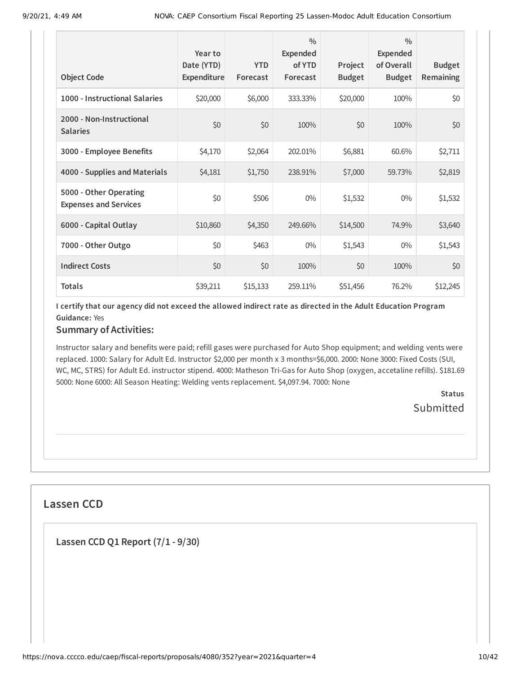| <b>Object Code</b>                                     | Year to<br>Date (YTD)<br>Expenditure | <b>YTD</b><br>Forecast | $\frac{0}{0}$<br><b>Expended</b><br>of YTD<br>Forecast | Project<br><b>Budget</b> | $\frac{0}{0}$<br>Expended<br>of Overall<br><b>Budget</b> | <b>Budget</b><br><b>Remaining</b> |
|--------------------------------------------------------|--------------------------------------|------------------------|--------------------------------------------------------|--------------------------|----------------------------------------------------------|-----------------------------------|
| 1000 - Instructional Salaries                          | \$20,000                             | \$6,000                | 333.33%                                                | \$20,000                 | 100%                                                     | \$0                               |
| 2000 - Non-Instructional<br><b>Salaries</b>            | \$0                                  | \$0                    | 100%                                                   | \$0                      | 100%                                                     | \$0                               |
| 3000 - Employee Benefits                               | \$4,170                              | \$2,064                | 202.01%                                                | \$6,881                  | 60.6%                                                    | \$2,711                           |
| 4000 - Supplies and Materials                          | \$4,181                              | \$1,750                | 238.91%                                                | \$7,000                  | 59.73%                                                   | \$2,819                           |
| 5000 - Other Operating<br><b>Expenses and Services</b> | \$0                                  | \$506                  | $0\%$                                                  | \$1,532                  | $0\%$                                                    | \$1,532                           |
| 6000 - Capital Outlay                                  | \$10,860                             | \$4,350                | 249.66%                                                | \$14,500                 | 74.9%                                                    | \$3,640                           |
| 7000 - Other Outgo                                     | \$0                                  | \$463                  | $0\%$                                                  | \$1,543                  | $0\%$                                                    | \$1,543                           |
| <b>Indirect Costs</b>                                  | \$0                                  | \$0                    | 100%                                                   | \$0                      | 100%                                                     | \$0                               |
| <b>Totals</b>                                          | \$39,211                             | \$15,133               | 259.11%                                                | \$51,456                 | 76.2%                                                    | \$12,245                          |

### **Summary of Activities:**

Instructor salary and benefits were paid; refill gases were purchased for Auto Shop equipment; and welding vents were replaced. 1000: Salary for Adult Ed. Instructor \$2,000 per month x 3 months=\$6,000. 2000: None 3000: Fixed Costs (SUI, WC, MC, STRS) for Adult Ed. instructor stipend. 4000: Matheson Tri-Gas for Auto Shop (oxygen, accetaline refills). \$181.69 5000: None 6000: All Season Heating: Welding vents replacement. \$4,097.94. 7000: None

> **Status Submitted**

### **Lassen CCD**

**Lassen CCD Q1 Report (7/1 - 9/30)**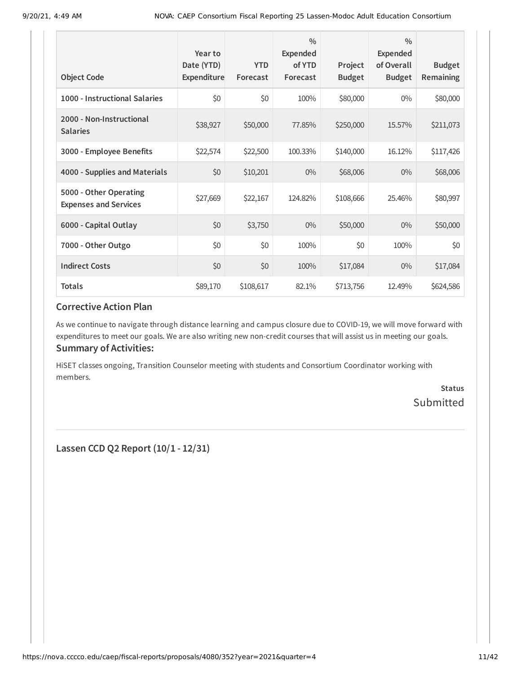| <b>Object Code</b>                                     | Year to<br>Date (YTD)<br>Expenditure | <b>YTD</b><br>Forecast | $\frac{0}{0}$<br>Expended<br>of YTD<br>Forecast | Project<br><b>Budget</b> | $\frac{0}{0}$<br><b>Expended</b><br>of Overall<br><b>Budget</b> | <b>Budget</b><br>Remaining |
|--------------------------------------------------------|--------------------------------------|------------------------|-------------------------------------------------|--------------------------|-----------------------------------------------------------------|----------------------------|
| 1000 - Instructional Salaries                          | \$0                                  | \$0                    | 100%                                            | \$80,000                 | $0\%$                                                           | \$80,000                   |
| 2000 - Non-Instructional<br><b>Salaries</b>            | \$38,927                             | \$50,000               | 77.85%                                          | \$250,000                | 15.57%                                                          | \$211,073                  |
| 3000 - Employee Benefits                               | \$22,574                             | \$22,500               | 100.33%                                         | \$140,000                | 16.12%                                                          | \$117,426                  |
| 4000 - Supplies and Materials                          | \$0                                  | \$10,201               | $0\%$                                           | \$68,006                 | $0\%$                                                           | \$68,006                   |
| 5000 - Other Operating<br><b>Expenses and Services</b> | \$27,669                             | \$22,167               | 124.82%                                         | \$108,666                | 25.46%                                                          | \$80,997                   |
| 6000 - Capital Outlay                                  | \$0                                  | \$3,750                | $0\%$                                           | \$50,000                 | $0\%$                                                           | \$50,000                   |
| 7000 - Other Outgo                                     | \$0                                  | \$0                    | 100%                                            | \$0                      | 100%                                                            | \$0                        |
| <b>Indirect Costs</b>                                  | \$0                                  | \$0                    | 100%                                            | \$17,084                 | $0\%$                                                           | \$17,084                   |
| <b>Totals</b>                                          | \$89,170                             | \$108,617              | 82.1%                                           | \$713,756                | 12.49%                                                          | \$624,586                  |

As we continue to navigate through distance learning and campus closure due to COVID-19, we will move forward with expenditures to meet our goals. We are also writing new non-credit courses that will assist us in meeting our goals. **Summary of Activities:**

HiSET classes ongoing, Transition Counselor meeting with students and Consortium Coordinator working with members.

> **Status** Submitted

**Lassen CCD Q2 Report (10/1 - 12/31)**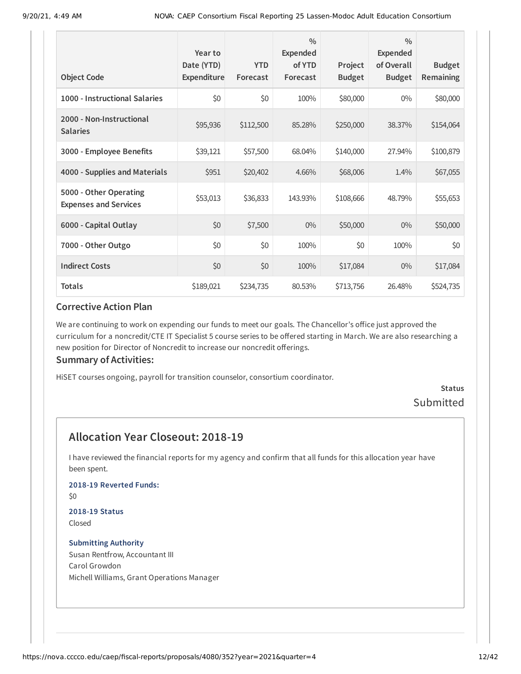| <b>Object Code</b>                                     | Year to<br>Date (YTD)<br>Expenditure | <b>YTD</b><br>Forecast | $\frac{0}{0}$<br><b>Expended</b><br>of YTD<br>Forecast | Project<br><b>Budget</b> | $\frac{0}{0}$<br><b>Expended</b><br>of Overall<br><b>Budget</b> | <b>Budget</b><br>Remaining |
|--------------------------------------------------------|--------------------------------------|------------------------|--------------------------------------------------------|--------------------------|-----------------------------------------------------------------|----------------------------|
| 1000 - Instructional Salaries                          | \$0                                  | \$0                    | 100%                                                   | \$80,000                 | $0\%$                                                           | \$80,000                   |
| 2000 - Non-Instructional<br><b>Salaries</b>            | \$95,936                             | \$112,500              | 85.28%                                                 | \$250,000                | 38.37%                                                          | \$154,064                  |
| 3000 - Employee Benefits                               | \$39,121                             | \$57,500               | 68.04%                                                 | \$140,000                | 27.94%                                                          | \$100,879                  |
| 4000 - Supplies and Materials                          | \$951                                | \$20,402               | 4.66%                                                  | \$68,006                 | 1.4%                                                            | \$67,055                   |
| 5000 - Other Operating<br><b>Expenses and Services</b> | \$53,013                             | \$36,833               | 143.93%                                                | \$108,666                | 48.79%                                                          | \$55,653                   |
| 6000 - Capital Outlay                                  | \$0                                  | \$7,500                | $0\%$                                                  | \$50,000                 | $0\%$                                                           | \$50,000                   |
| 7000 - Other Outgo                                     | \$0                                  | \$0                    | 100%                                                   | \$0                      | 100%                                                            | \$0                        |
| <b>Indirect Costs</b>                                  | \$0                                  | \$0                    | 100%                                                   | \$17,084                 | $0\%$                                                           | \$17,084                   |
| <b>Totals</b>                                          | \$189,021                            | \$234,735              | 80.53%                                                 | \$713,756                | 26.48%                                                          | \$524,735                  |

We are continuing to work on expending our funds to meet our goals. The Chancellor's office just approved the curriculum for a noncredit/CTE IT Specialist 5 course series to be offered starting in March. We are also researching a new position for Director of Noncredit to increase our noncredit offerings.

#### **Summary of Activities:**

HiSET courses ongoing, payroll for transition counselor, consortium coordinator.

### **Status** Submitted

### **Allocation Year Closeout: 2018-19**

I have reviewed the financial reports for my agency and confirm that all funds for this allocation year have been spent.

#### **2018-19 Reverted Funds:**

\$0

#### **2018-19 Status** Closed

#### **Submitting Authority** Susan Rentfrow, Accountant III Carol Growdon Michell Williams, Grant Operations Manager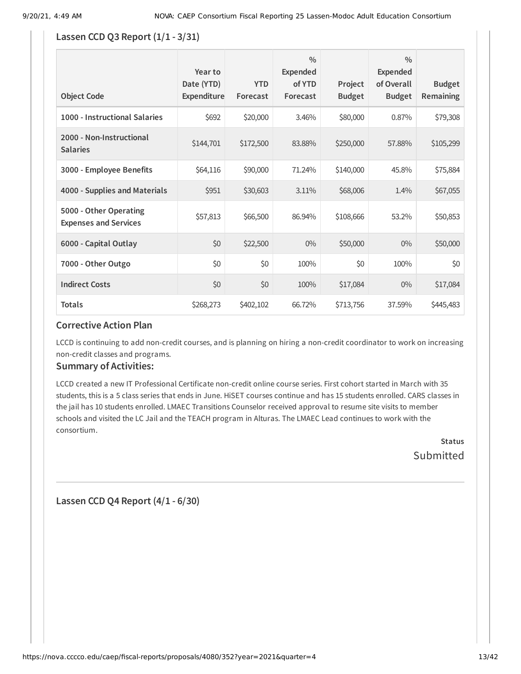#### **Lassen CCD Q3 Report (1/1 - 3/31)**

| <b>Object Code</b>                                     | Year to<br>Date (YTD)<br>Expenditure | <b>YTD</b><br>Forecast | $\frac{0}{0}$<br><b>Expended</b><br>of YTD<br>Forecast | Project<br><b>Budget</b> | $\frac{0}{0}$<br><b>Expended</b><br>of Overall<br><b>Budget</b> | <b>Budget</b><br><b>Remaining</b> |
|--------------------------------------------------------|--------------------------------------|------------------------|--------------------------------------------------------|--------------------------|-----------------------------------------------------------------|-----------------------------------|
| 1000 - Instructional Salaries                          | \$692                                | \$20,000               | 3.46%                                                  | \$80,000                 | 0.87%                                                           | \$79,308                          |
| 2000 - Non-Instructional<br><b>Salaries</b>            | \$144,701                            | \$172,500              | 83.88%                                                 | \$250,000                | 57.88%                                                          | \$105,299                         |
| 3000 - Employee Benefits                               | \$64,116                             | \$90,000               | 71.24%                                                 | \$140,000                | 45.8%                                                           | \$75,884                          |
| 4000 - Supplies and Materials                          | \$951                                | \$30,603               | 3.11%                                                  | \$68,006                 | 1.4%                                                            | \$67,055                          |
| 5000 - Other Operating<br><b>Expenses and Services</b> | \$57,813                             | \$66,500               | 86.94%                                                 | \$108,666                | 53.2%                                                           | \$50,853                          |
| 6000 - Capital Outlay                                  | \$0                                  | \$22,500               | $0\%$                                                  | \$50,000                 | $0\%$                                                           | \$50,000                          |
| 7000 - Other Outgo                                     | \$0                                  | \$0                    | 100%                                                   | \$0                      | 100%                                                            | \$0                               |
| <b>Indirect Costs</b>                                  | \$0                                  | \$0                    | 100%                                                   | \$17,084                 | $0\%$                                                           | \$17,084                          |
| <b>Totals</b>                                          | \$268,273                            | \$402,102              | 66.72%                                                 | \$713,756                | 37.59%                                                          | \$445,483                         |

### **Corrective Action Plan**

LCCD is continuing to add non-credit courses, and is planning on hiring a non-credit coordinator to work on increasing non-credit classes and programs.

#### **Summary of Activities:**

LCCD created a new IT Professional Certificate non-credit online course series. First cohort started in March with 35 students, this is a 5 class series that ends in June. HiSET courses continue and has 15 students enrolled. CARS classes in the jail has 10 students enrolled. LMAEC Transitions Counselor received approval to resume site visits to member schools and visited the LC Jail and the TEACH program in Alturas. The LMAEC Lead continues to work with the consortium.

> **Status Submitted**

**Lassen CCD Q4 Report (4/1 - 6/30)**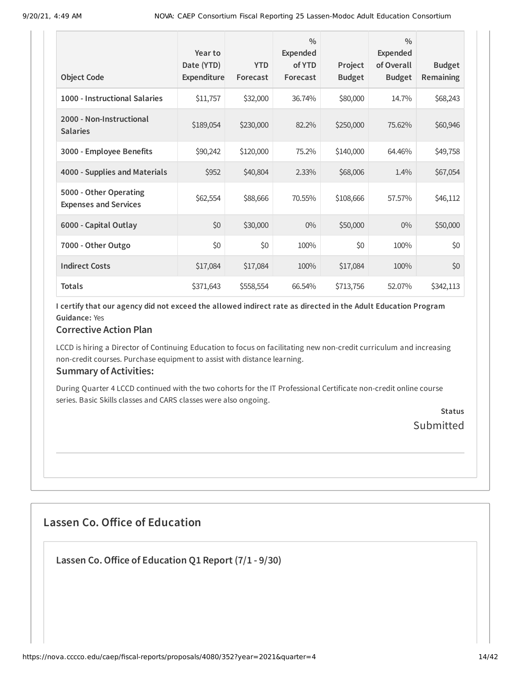| <b>Object Code</b>                                     | Year to<br>Date (YTD)<br>Expenditure | <b>YTD</b><br>Forecast | $\frac{0}{0}$<br><b>Expended</b><br>of YTD<br>Forecast | Project<br><b>Budget</b> | $\frac{0}{0}$<br>Expended<br>of Overall<br><b>Budget</b> | <b>Budget</b><br>Remaining |
|--------------------------------------------------------|--------------------------------------|------------------------|--------------------------------------------------------|--------------------------|----------------------------------------------------------|----------------------------|
|                                                        |                                      |                        |                                                        |                          |                                                          |                            |
| 1000 - Instructional Salaries                          | \$11,757                             | \$32,000               | 36.74%                                                 | \$80,000                 | 14.7%                                                    | \$68,243                   |
| 2000 - Non-Instructional<br><b>Salaries</b>            | \$189,054                            | \$230,000              | 82.2%                                                  | \$250,000                | 75.62%                                                   | \$60,946                   |
| 3000 - Employee Benefits                               | \$90,242                             | \$120,000              | 75.2%                                                  | \$140,000                | 64.46%                                                   | \$49,758                   |
| 4000 - Supplies and Materials                          | \$952                                | \$40,804               | 2.33%                                                  | \$68,006                 | 1.4%                                                     | \$67,054                   |
| 5000 - Other Operating<br><b>Expenses and Services</b> | \$62,554                             | \$88,666               | 70.55%                                                 | \$108,666                | 57.57%                                                   | \$46,112                   |
| 6000 - Capital Outlay                                  | \$0                                  | \$30,000               | $0\%$                                                  | \$50,000                 | $0\%$                                                    | \$50,000                   |
| 7000 - Other Outgo                                     | \$0                                  | \$0                    | 100%                                                   | \$0                      | 100%                                                     | \$0                        |
| <b>Indirect Costs</b>                                  | \$17,084                             | \$17,084               | 100%                                                   | \$17,084                 | 100%                                                     | \$0                        |
| <b>Totals</b>                                          | \$371,643                            | \$558,554              | 66.54%                                                 | \$713,756                | 52.07%                                                   | \$342,113                  |

### **Corrective Action Plan**

LCCD is hiring a Director of Continuing Education to focus on facilitating new non-credit curriculum and increasing non-credit courses. Purchase equipment to assist with distance learning.

#### **Summary of Activities:**

During Quarter 4 LCCD continued with the two cohorts for the IT Professional Certificate non-credit online course series. Basic Skills classes and CARS classes were also ongoing.

> **Status** Submitted

## **Lassen Co. Office of Education**

**Lassen Co.Office of Education Q1 Report (7/1 - 9/30)**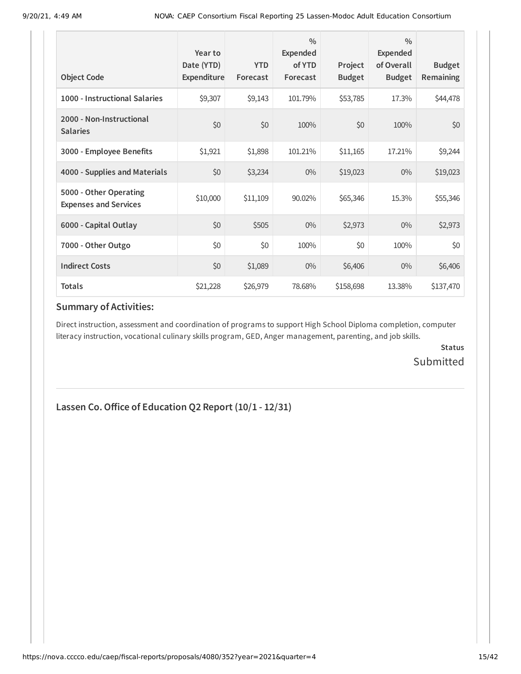| <b>Object Code</b>                                     | Year to<br>Date (YTD)<br>Expenditure | <b>YTD</b><br>Forecast | $\frac{0}{0}$<br>Expended<br>of YTD<br>Forecast | Project<br><b>Budget</b> | $\frac{0}{0}$<br><b>Expended</b><br>of Overall<br><b>Budget</b> | <b>Budget</b><br><b>Remaining</b> |
|--------------------------------------------------------|--------------------------------------|------------------------|-------------------------------------------------|--------------------------|-----------------------------------------------------------------|-----------------------------------|
| 1000 - Instructional Salaries                          | \$9,307                              | \$9,143                | 101.79%                                         | \$53,785                 | 17.3%                                                           | \$44,478                          |
| 2000 - Non-Instructional<br><b>Salaries</b>            | \$0                                  | \$0                    | 100%                                            | \$0                      | 100%                                                            | \$0                               |
| 3000 - Employee Benefits                               | \$1,921                              | \$1,898                | 101.21%                                         | \$11,165                 | 17.21%                                                          | \$9,244                           |
| 4000 - Supplies and Materials                          | \$0                                  | \$3,234                | $0\%$                                           | \$19,023                 | $0\%$                                                           | \$19,023                          |
| 5000 - Other Operating<br><b>Expenses and Services</b> | \$10,000                             | \$11,109               | 90.02%                                          | \$65,346                 | 15.3%                                                           | \$55,346                          |
| 6000 - Capital Outlay                                  | \$0                                  | \$505                  | $0\%$                                           | \$2,973                  | $0\%$                                                           | \$2,973                           |
| 7000 - Other Outgo                                     | \$0                                  | \$0                    | 100%                                            | \$0                      | 100%                                                            | \$0                               |
| <b>Indirect Costs</b>                                  | \$0                                  | \$1,089                | $0\%$                                           | \$6,406                  | $0\%$                                                           | \$6,406                           |
| <b>Totals</b>                                          | \$21,228                             | \$26,979               | 78.68%                                          | \$158,698                | 13.38%                                                          | \$137,470                         |

Direct instruction, assessment and coordination of programs to support High School Diploma completion, computer literacy instruction, vocational culinary skills program, GED, Anger management, parenting, and job skills.

> **Status** Submitted

### **Lassen Co.Office of Education Q2 Report (10/1 - 12/31)**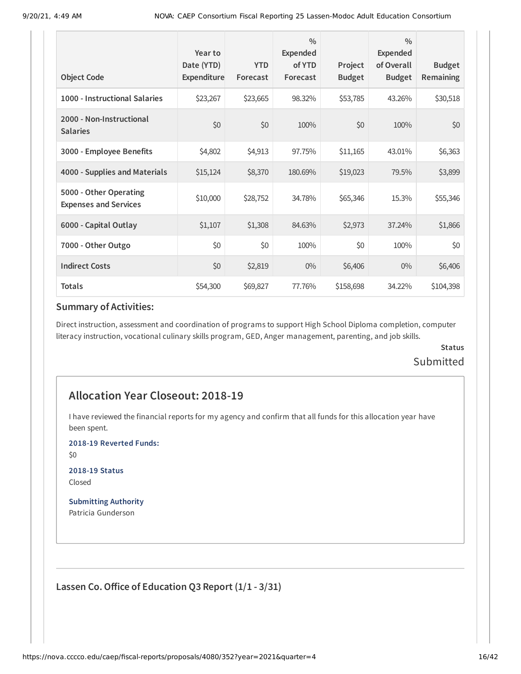|                                                        | Year to<br>Date (YTD) | <b>YTD</b> | $\frac{0}{0}$<br><b>Expended</b><br>of YTD | Project       | $\frac{0}{0}$<br><b>Expended</b><br>of Overall | <b>Budget</b> |
|--------------------------------------------------------|-----------------------|------------|--------------------------------------------|---------------|------------------------------------------------|---------------|
| <b>Object Code</b>                                     | Expenditure           | Forecast   | Forecast                                   | <b>Budget</b> | <b>Budget</b>                                  | Remaining     |
| 1000 - Instructional Salaries                          | \$23,267              | \$23,665   | 98.32%                                     | \$53,785      | 43.26%                                         | \$30,518      |
| 2000 - Non-Instructional<br><b>Salaries</b>            | \$0                   | \$0        | 100%                                       | \$0           | 100%                                           | \$0           |
| 3000 - Employee Benefits                               | \$4,802               | \$4,913    | 97.75%                                     | \$11,165      | 43.01%                                         | \$6,363       |
| 4000 - Supplies and Materials                          | \$15,124              | \$8,370    | 180.69%                                    | \$19,023      | 79.5%                                          | \$3,899       |
| 5000 - Other Operating<br><b>Expenses and Services</b> | \$10,000              | \$28,752   | 34.78%                                     | \$65,346      | 15.3%                                          | \$55,346      |
| 6000 - Capital Outlay                                  | \$1,107               | \$1,308    | 84.63%                                     | \$2,973       | 37.24%                                         | \$1,866       |
| 7000 - Other Outgo                                     | \$0                   | \$0        | 100%                                       | \$0           | 100%                                           | \$0           |
| <b>Indirect Costs</b>                                  | \$0                   | \$2,819    | $0\%$                                      | \$6,406       | $0\%$                                          | \$6,406       |
| <b>Totals</b>                                          | \$54,300              | \$69,827   | 77.76%                                     | \$158,698     | 34.22%                                         | \$104,398     |

Direct instruction, assessment and coordination of programs to support High School Diploma completion, computer literacy instruction, vocational culinary skills program, GED, Anger management, parenting, and job skills.

### **Status** Submitted

### **Allocation Year Closeout: 2018-19**

I have reviewed the financial reports for my agency and confirm that all funds for this allocation year have been spent.

**2018-19 Reverted Funds:**

\$0

**2018-19 Status** Closed

**Submitting Authority** Patricia Gunderson

**Lassen Co.Office of Education Q3 Report (1/1 - 3/31)**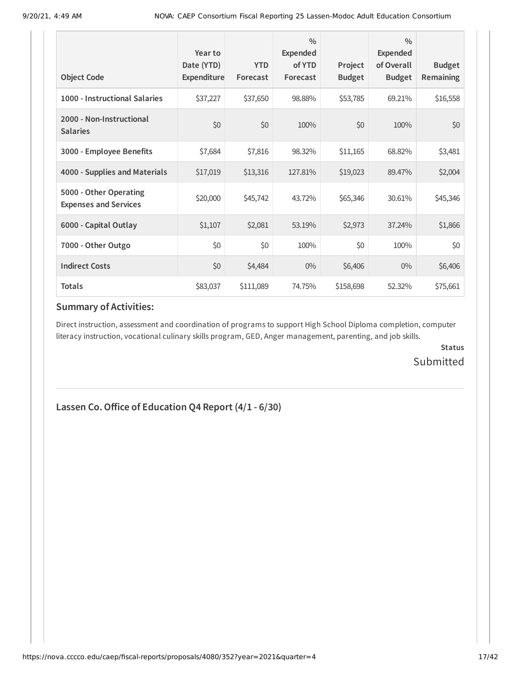| <b>Object Code</b>                                     | Year to<br>Date (YTD)<br><b>Expenditure</b> | <b>YTD</b><br>Forecast | $\frac{0}{0}$<br>Expended<br>of YTD<br>Forecast | Project<br><b>Budget</b> | $\frac{0}{0}$<br><b>Expended</b><br>of Overall<br><b>Budget</b> | <b>Budget</b><br>Remaining |
|--------------------------------------------------------|---------------------------------------------|------------------------|-------------------------------------------------|--------------------------|-----------------------------------------------------------------|----------------------------|
| 1000 - Instructional Salaries                          | \$37,227                                    | \$37,650               | 98.88%                                          | \$53,785                 | 69.21%                                                          | \$16,558                   |
| 2000 - Non-Instructional<br><b>Salaries</b>            | \$0                                         | \$0                    | 100%                                            | \$0                      | 100%                                                            | \$0                        |
| 3000 - Employee Benefits                               | \$7,684                                     | \$7,816                | 98.32%                                          | \$11,165                 | 68.82%                                                          | \$3,481                    |
| 4000 - Supplies and Materials                          | \$17,019                                    | \$13,316               | 127.81%                                         | \$19,023                 | 89.47%                                                          | \$2,004                    |
| 5000 - Other Operating<br><b>Expenses and Services</b> | \$20,000                                    | \$45,742               | 43.72%                                          | \$65,346                 | 30.61%                                                          | \$45,346                   |
| 6000 - Capital Outlay                                  | \$1,107                                     | \$2,081                | 53.19%                                          | \$2,973                  | 37.24%                                                          | \$1,866                    |
| 7000 - Other Outgo                                     | \$0                                         | \$0                    | 100%                                            | \$0                      | 100%                                                            | \$0                        |
| <b>Indirect Costs</b>                                  | \$0                                         | \$4,484                | $0\%$                                           | \$6,406                  | $0\%$                                                           | \$6,406                    |
| <b>Totals</b>                                          | \$83,037                                    | \$111,089              | 74.75%                                          | \$158,698                | 52.32%                                                          | \$75,661                   |

Direct instruction, assessment and coordination of programs to support High School Diploma completion, computer literacy instruction, vocational culinary skills program, GED, Anger management, parenting, and job skills.

> **Status** Submitted

### **Lassen Co.Office of Education Q4 Report (4/1 - 6/30)**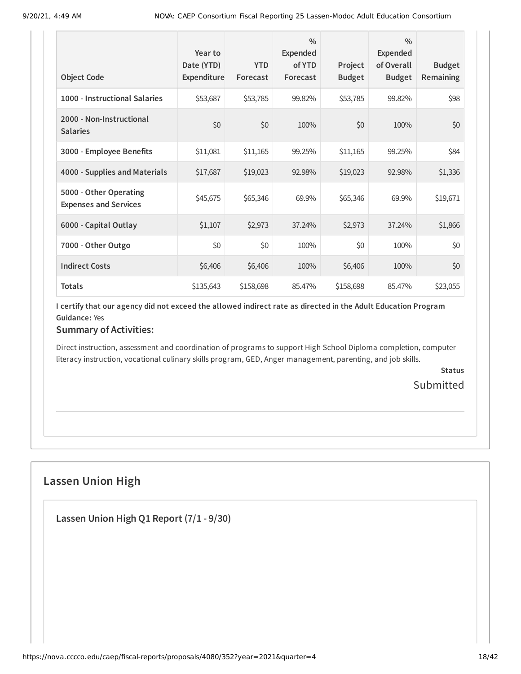| <b>Object Code</b>                                     | Year to<br>Date (YTD)<br>Expenditure | <b>YTD</b><br>Forecast | $\frac{0}{0}$<br><b>Expended</b><br>of YTD<br>Forecast | Project<br><b>Budget</b> | $\frac{0}{0}$<br><b>Expended</b><br>of Overall<br><b>Budget</b> | <b>Budget</b><br>Remaining |
|--------------------------------------------------------|--------------------------------------|------------------------|--------------------------------------------------------|--------------------------|-----------------------------------------------------------------|----------------------------|
| 1000 - Instructional Salaries                          | \$53,687                             | \$53,785               | 99.82%                                                 | \$53,785                 | 99.82%                                                          | \$98                       |
| 2000 - Non-Instructional<br><b>Salaries</b>            | \$0                                  | \$0                    | 100%                                                   | \$0                      | 100%                                                            | \$0                        |
| 3000 - Employee Benefits                               | \$11,081                             | \$11,165               | 99.25%                                                 | \$11,165                 | 99.25%                                                          | \$84                       |
| 4000 - Supplies and Materials                          | \$17,687                             | \$19,023               | 92.98%                                                 | \$19,023                 | 92.98%                                                          | \$1,336                    |
| 5000 - Other Operating<br><b>Expenses and Services</b> | \$45,675                             | \$65,346               | 69.9%                                                  | \$65,346                 | 69.9%                                                           | \$19,671                   |
| 6000 - Capital Outlay                                  | \$1,107                              | \$2,973                | 37.24%                                                 | \$2,973                  | 37.24%                                                          | \$1,866                    |
| 7000 - Other Outgo                                     | \$0                                  | \$0                    | 100%                                                   | \$0                      | 100%                                                            | \$0                        |
| <b>Indirect Costs</b>                                  | \$6,406                              | \$6,406                | 100%                                                   | \$6,406                  | 100%                                                            | \$0                        |
| <b>Totals</b>                                          | \$135,643                            | \$158,698              | 85.47%                                                 | \$158,698                | 85.47%                                                          | \$23,055                   |

## **Summary of Activities:**

Direct instruction, assessment and coordination of programs to support High School Diploma completion, computer literacy instruction, vocational culinary skills program, GED, Anger management, parenting, and job skills.

> **Status Submitted**

## **Lassen Union High**

**Lassen Union High Q1 Report (7/1 - 9/30)**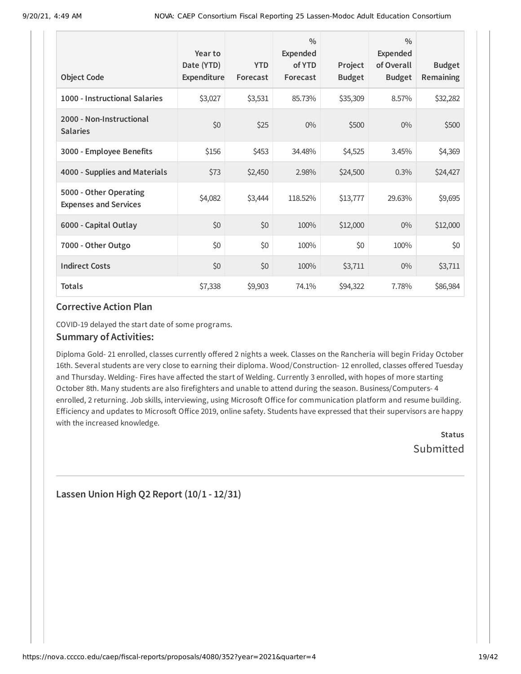| <b>Object Code</b>                                     | Year to<br>Date (YTD)<br>Expenditure | <b>YTD</b><br>Forecast | $\frac{0}{0}$<br>Expended<br>of YTD<br>Forecast | Project<br><b>Budget</b> | $\frac{0}{0}$<br><b>Expended</b><br>of Overall<br><b>Budget</b> | <b>Budget</b><br>Remaining |
|--------------------------------------------------------|--------------------------------------|------------------------|-------------------------------------------------|--------------------------|-----------------------------------------------------------------|----------------------------|
| 1000 - Instructional Salaries                          | \$3,027                              | \$3,531                | 85.73%                                          | \$35,309                 | 8.57%                                                           | \$32,282                   |
| 2000 - Non-Instructional<br><b>Salaries</b>            | \$0                                  | \$25                   | $0\%$                                           | \$500                    | $0\%$                                                           | \$500                      |
| 3000 - Employee Benefits                               | \$156                                | \$453                  | 34.48%                                          | \$4,525                  | 3.45%                                                           | \$4,369                    |
| 4000 - Supplies and Materials                          | \$73                                 | \$2,450                | 2.98%                                           | \$24,500                 | 0.3%                                                            | \$24,427                   |
| 5000 - Other Operating<br><b>Expenses and Services</b> | \$4,082                              | \$3,444                | 118.52%                                         | \$13,777                 | 29.63%                                                          | \$9,695                    |
| 6000 - Capital Outlay                                  | \$0                                  | \$0                    | 100%                                            | \$12,000                 | $0\%$                                                           | \$12,000                   |
| 7000 - Other Outgo                                     | \$0                                  | \$0                    | 100%                                            | \$0                      | 100%                                                            | \$0                        |
| <b>Indirect Costs</b>                                  | \$0                                  | \$0                    | 100%                                            | \$3,711                  | $0\%$                                                           | \$3,711                    |
| <b>Totals</b>                                          | \$7,338                              | \$9,903                | 74.1%                                           | \$94,322                 | 7.78%                                                           | \$86,984                   |

COVID-19 delayed the start date of some programs.

#### **Summary of Activities:**

Diploma Gold- 21 enrolled, classes currently offered 2 nights a week. Classes on the Rancheria will begin Friday October 16th. Several students are very close to earning their diploma. Wood/Construction- 12 enrolled, classes offered Tuesday and Thursday. Welding- Fires have affected the start of Welding. Currently 3 enrolled, with hopes of more starting October 8th. Many students are also firefighters and unable to attend during the season. Business/Computers- 4 enrolled, 2 returning. Job skills, interviewing, using Microsoft Office for communication platform and resume building. Efficiency and updates to Microsoft Office 2019, online safety. Students have expressed that their supervisors are happy with the increased knowledge.

> **Status Submitted**

**Lassen Union High Q2 Report (10/1 - 12/31)**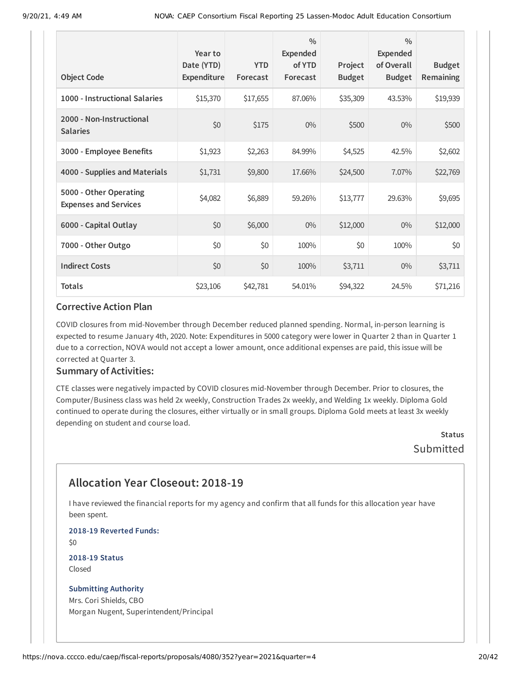| <b>Object Code</b>                                     | Year to<br>Date (YTD)<br><b>Expenditure</b> | <b>YTD</b><br>Forecast | $\frac{0}{0}$<br>Expended<br>of YTD<br>Forecast | Project<br><b>Budget</b> | $\frac{0}{0}$<br><b>Expended</b><br>of Overall<br><b>Budget</b> | <b>Budget</b><br>Remaining |
|--------------------------------------------------------|---------------------------------------------|------------------------|-------------------------------------------------|--------------------------|-----------------------------------------------------------------|----------------------------|
| 1000 - Instructional Salaries                          | \$15,370                                    | \$17,655               | 87.06%                                          | \$35,309                 | 43.53%                                                          | \$19,939                   |
| 2000 - Non-Instructional<br><b>Salaries</b>            | \$0                                         | \$175                  | $0\%$                                           | \$500                    | $0\%$                                                           | \$500                      |
| 3000 - Employee Benefits                               | \$1,923                                     | \$2,263                | 84.99%                                          | \$4,525                  | 42.5%                                                           | \$2,602                    |
| 4000 - Supplies and Materials                          | \$1,731                                     | \$9,800                | 17.66%                                          | \$24,500                 | 7.07%                                                           | \$22,769                   |
| 5000 - Other Operating<br><b>Expenses and Services</b> | \$4,082                                     | \$6,889                | 59.26%                                          | \$13,777                 | 29.63%                                                          | \$9,695                    |
| 6000 - Capital Outlay                                  | \$0                                         | \$6,000                | $0\%$                                           | \$12,000                 | $0\%$                                                           | \$12,000                   |
| 7000 - Other Outgo                                     | \$0                                         | \$0                    | 100%                                            | \$0                      | 100%                                                            | \$0                        |
| <b>Indirect Costs</b>                                  | \$0                                         | \$0                    | 100%                                            | \$3,711                  | $0\%$                                                           | \$3,711                    |
| <b>Totals</b>                                          | \$23,106                                    | \$42,781               | 54.01%                                          | \$94,322                 | 24.5%                                                           | \$71,216                   |

COVID closures from mid-November through December reduced planned spending. Normal, in-person learning is expected to resume January 4th, 2020. Note: Expenditures in 5000 category were lower in Quarter 2 than in Quarter 1 due to a correction, NOVA would not accept a lower amount, once additional expenses are paid, this issue will be corrected at Quarter 3.

#### **Summary of Activities:**

CTE classes were negatively impacted by COVID closures mid-November through December. Prior to closures, the Computer/Business class was held 2x weekly, Construction Trades 2x weekly, and Welding 1x weekly. Diploma Gold continued to operate during the closures, either virtually or in small groups. Diploma Gold meets at least 3x weekly depending on student and course load.

> **Status Submitted**

## **Allocation Year Closeout: 2018-19**

I have reviewed the financial reports for my agency and confirm that all funds for this allocation year have been spent.

**2018-19 Reverted Funds:**

\$0

**2018-19 Status** Closed

#### **Submitting Authority**

Mrs. Cori Shields, CBO Morgan Nugent, Superintendent/Principal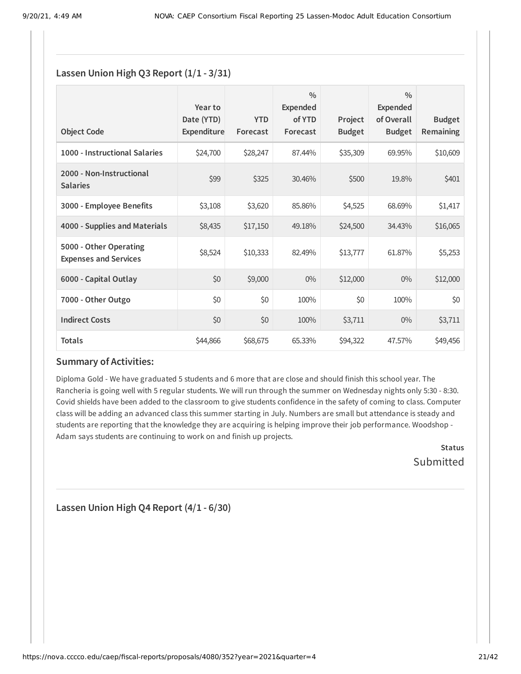### **Lassen Union High Q3 Report (1/1 - 3/31)**

| <b>Object Code</b>                                     | Year to<br>Date (YTD)<br>Expenditure | <b>YTD</b><br>Forecast | $\frac{0}{0}$<br><b>Expended</b><br>of YTD<br>Forecast | Project<br><b>Budget</b> | $\frac{0}{0}$<br>Expended<br>of Overall<br><b>Budget</b> | <b>Budget</b><br><b>Remaining</b> |
|--------------------------------------------------------|--------------------------------------|------------------------|--------------------------------------------------------|--------------------------|----------------------------------------------------------|-----------------------------------|
| 1000 - Instructional Salaries                          | \$24,700                             | \$28,247               | 87.44%                                                 | \$35,309                 | 69.95%                                                   | \$10,609                          |
| 2000 - Non-Instructional<br><b>Salaries</b>            | \$99                                 | \$325                  | 30.46%                                                 | \$500                    | 19.8%                                                    | \$401                             |
| 3000 - Employee Benefits                               | \$3,108                              | \$3,620                | 85.86%                                                 | \$4,525                  | 68.69%                                                   | \$1,417                           |
| 4000 - Supplies and Materials                          | \$8,435                              | \$17,150               | 49.18%                                                 | \$24,500                 | 34.43%                                                   | \$16,065                          |
| 5000 - Other Operating<br><b>Expenses and Services</b> | \$8,524                              | \$10,333               | 82.49%                                                 | \$13,777                 | 61.87%                                                   | \$5,253                           |
| 6000 - Capital Outlay                                  | \$0                                  | \$9,000                | $0\%$                                                  | \$12,000                 | $0\%$                                                    | \$12,000                          |
| 7000 - Other Outgo                                     | \$0                                  | \$0                    | 100%                                                   | \$0                      | 100%                                                     | \$0                               |
| <b>Indirect Costs</b>                                  | \$0                                  | \$0                    | 100%                                                   | \$3,711                  | $0\%$                                                    | \$3,711                           |
| <b>Totals</b>                                          | \$44,866                             | \$68,675               | 65.33%                                                 | \$94,322                 | 47.57%                                                   | \$49,456                          |

### **Summary of Activities:**

Diploma Gold - We have graduated 5 students and 6 more that are close and should finish this school year. The Rancheria is going well with 5 regular students. We will run through the summer on Wednesday nights only 5:30 - 8:30. Covid shields have been added to the classroom to give students confidence in the safety of coming to class. Computer class will be adding an advanced class this summer starting in July. Numbers are small but attendance is steady and students are reporting that the knowledge they are acquiring is helping improve their job performance. Woodshop - Adam says students are continuing to work on and finish up projects.

> **Status** Submitted

**Lassen Union High Q4 Report (4/1 - 6/30)**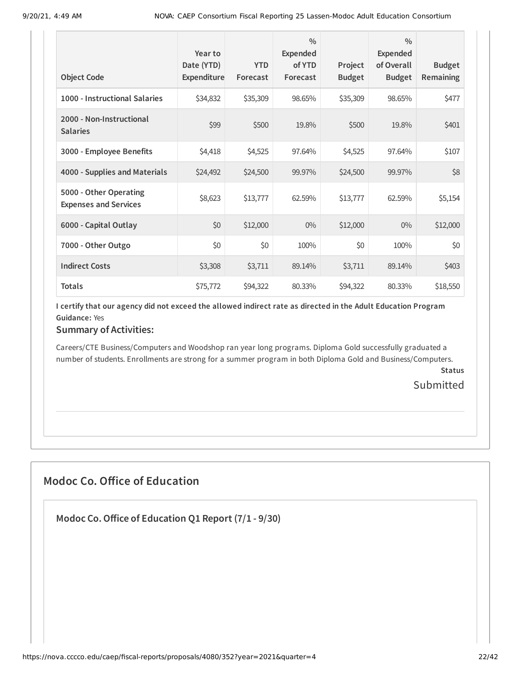| <b>Object Code</b>                                     | Year to<br>Date (YTD)<br>Expenditure | <b>YTD</b><br>Forecast | $\frac{0}{0}$<br><b>Expended</b><br>of YTD<br>Forecast | Project<br><b>Budget</b> | $\frac{0}{0}$<br><b>Expended</b><br>of Overall<br><b>Budget</b> | <b>Budget</b><br><b>Remaining</b> |
|--------------------------------------------------------|--------------------------------------|------------------------|--------------------------------------------------------|--------------------------|-----------------------------------------------------------------|-----------------------------------|
|                                                        |                                      |                        |                                                        |                          |                                                                 |                                   |
| 1000 - Instructional Salaries                          | \$34,832                             | \$35,309               | 98.65%                                                 | \$35,309                 | 98.65%                                                          | \$477                             |
| 2000 - Non-Instructional<br><b>Salaries</b>            | \$99                                 | \$500                  | 19.8%                                                  | \$500                    | 19.8%                                                           | \$401                             |
| 3000 - Employee Benefits                               | \$4,418                              | \$4,525                | 97.64%                                                 | \$4,525                  | 97.64%                                                          | \$107                             |
| 4000 - Supplies and Materials                          | \$24,492                             | \$24,500               | 99.97%                                                 | \$24,500                 | 99.97%                                                          | \$8                               |
| 5000 - Other Operating<br><b>Expenses and Services</b> | \$8,623                              | \$13,777               | 62.59%                                                 | \$13,777                 | 62.59%                                                          | \$5,154                           |
| 6000 - Capital Outlay                                  | \$0                                  | \$12,000               | $0\%$                                                  | \$12,000                 | $0\%$                                                           | \$12,000                          |
| 7000 - Other Outgo                                     | \$0                                  | \$0                    | 100%                                                   | \$0                      | 100%                                                            | \$0                               |
| <b>Indirect Costs</b>                                  | \$3,308                              | \$3,711                | 89.14%                                                 | \$3,711                  | 89.14%                                                          | \$403                             |
| <b>Totals</b>                                          | \$75,772                             | \$94,322               | 80.33%                                                 | \$94,322                 | 80.33%                                                          | \$18,550                          |

### **Summary of Activities:**

Careers/CTE Business/Computers and Woodshop ran year long programs. Diploma Gold successfully graduated a number of students. Enrollments are strong for a summer program in both Diploma Gold and Business/Computers.

**Status**

**Submitted** 

## **Modoc Co. Office of Education**

**Modoc Co.Office of Education Q1 Report (7/1 - 9/30)**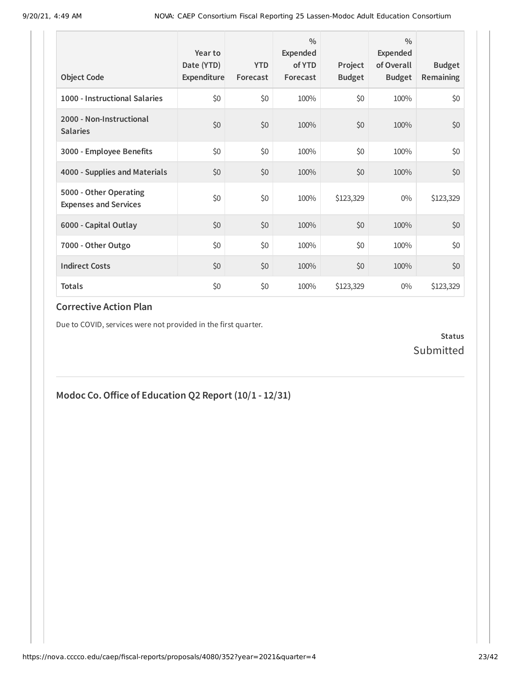| <b>Object Code</b>                                     | Year to<br>Date (YTD)<br>Expenditure | <b>YTD</b><br>Forecast | $\frac{0}{0}$<br>Expended<br>of YTD<br>Forecast | Project<br><b>Budget</b> | $\frac{0}{0}$<br>Expended<br>of Overall<br><b>Budget</b> | <b>Budget</b><br>Remaining |
|--------------------------------------------------------|--------------------------------------|------------------------|-------------------------------------------------|--------------------------|----------------------------------------------------------|----------------------------|
| 1000 - Instructional Salaries                          | \$0                                  | \$0                    | 100%                                            | \$0                      | 100%                                                     | \$0                        |
| 2000 - Non-Instructional<br><b>Salaries</b>            | \$0                                  | \$0                    | 100%                                            | \$0                      | 100%                                                     | \$0                        |
| 3000 - Employee Benefits                               | \$0                                  | \$0                    | 100%                                            | \$0                      | 100%                                                     | \$0                        |
| 4000 - Supplies and Materials                          | \$0                                  | \$0                    | 100%                                            | \$0                      | 100%                                                     | \$0                        |
| 5000 - Other Operating<br><b>Expenses and Services</b> | \$0                                  | \$0                    | 100%                                            | \$123,329                | $0\%$                                                    | \$123,329                  |
| 6000 - Capital Outlay                                  | \$0                                  | \$0                    | 100%                                            | \$0                      | 100%                                                     | \$0                        |
| 7000 - Other Outgo                                     | \$0                                  | \$0                    | 100%                                            | \$0                      | 100%                                                     | \$0                        |
| <b>Indirect Costs</b>                                  | \$0                                  | \$0                    | 100%                                            | \$0                      | 100%                                                     | \$0                        |
| <b>Totals</b>                                          | \$0                                  | \$0                    | 100%                                            | \$123,329                | $0\%$                                                    | \$123,329                  |

Due to COVID, services were not provided in the first quarter.

**Status** Submitted

## **Modoc Co.Office of Education Q2 Report (10/1 - 12/31)**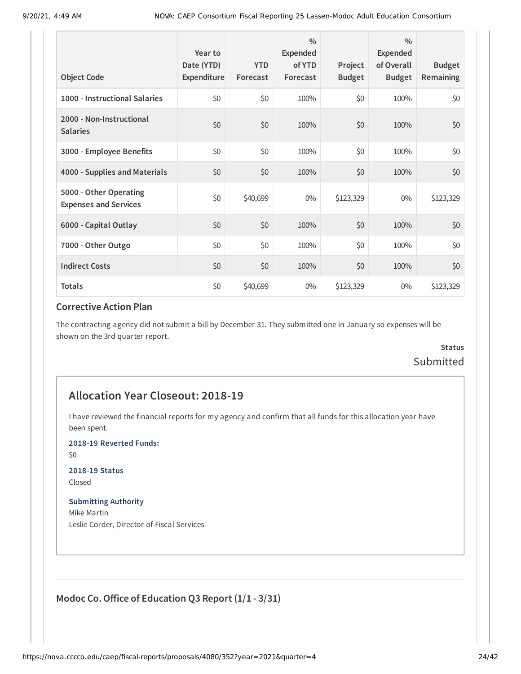| <b>Object Code</b>                                     | Year to<br>Date (YTD)<br>Expenditure | <b>YTD</b><br>Forecast | $\frac{0}{0}$<br>Expended<br>of YTD<br>Forecast | Project<br><b>Budget</b> | $\frac{0}{0}$<br><b>Expended</b><br>of Overall<br><b>Budget</b> | <b>Budget</b><br>Remaining |
|--------------------------------------------------------|--------------------------------------|------------------------|-------------------------------------------------|--------------------------|-----------------------------------------------------------------|----------------------------|
| 1000 - Instructional Salaries                          | \$0                                  | \$0                    | 100%                                            | \$0                      | 100%                                                            | \$0                        |
| 2000 - Non-Instructional<br><b>Salaries</b>            | \$0                                  | \$0                    | 100%                                            | \$0                      | 100%                                                            | \$0                        |
| 3000 - Employee Benefits                               | \$0                                  | \$0                    | 100%                                            | \$0                      | 100%                                                            | \$0                        |
| 4000 - Supplies and Materials                          | \$0                                  | \$0                    | 100%                                            | \$0                      | 100%                                                            | \$0                        |
| 5000 - Other Operating<br><b>Expenses and Services</b> | \$0                                  | \$40,699               | $0\%$                                           | \$123,329                | $0\%$                                                           | \$123,329                  |
| 6000 - Capital Outlay                                  | \$0                                  | \$0                    | 100%                                            | \$0                      | 100%                                                            | \$0                        |
| 7000 - Other Outgo                                     | \$0                                  | \$0                    | 100%                                            | \$0                      | 100%                                                            | \$0                        |
| <b>Indirect Costs</b>                                  | \$0                                  | \$0                    | 100%                                            | \$0                      | 100%                                                            | \$0                        |
| <b>Totals</b>                                          | \$0                                  | \$40,699               | $0\%$                                           | \$123,329                | $0\%$                                                           | \$123,329                  |

The contracting agency did not submit a bill by December 31. They submitted one in January so expenses will be shown on the 3rd quarter report.

### **Status** Submitted

### **Allocation Year Closeout: 2018-19**

I have reviewed the financial reports for my agency and confirm that all funds for this allocation year have been spent.

**2018-19 Reverted Funds:**

\$0

#### **2018-19 Status**

Closed

#### **Submitting Authority**

Mike Martin Leslie Corder, Director of Fiscal Services

### **Modoc Co.Office of Education Q3 Report (1/1 - 3/31)**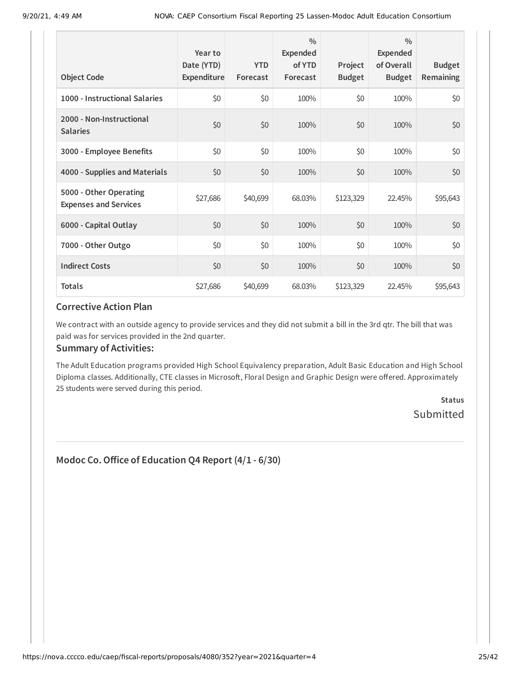| <b>Object Code</b>                                     | Year to<br>Date (YTD)<br>Expenditure | <b>YTD</b><br>Forecast | $\frac{0}{0}$<br>Expended<br>of YTD<br>Forecast | Project<br><b>Budget</b> | $\frac{0}{0}$<br>Expended<br>of Overall<br><b>Budget</b> | <b>Budget</b><br><b>Remaining</b> |
|--------------------------------------------------------|--------------------------------------|------------------------|-------------------------------------------------|--------------------------|----------------------------------------------------------|-----------------------------------|
| 1000 - Instructional Salaries                          | \$0                                  | \$0                    | 100%                                            | \$0                      | 100%                                                     | \$0                               |
| 2000 - Non-Instructional<br><b>Salaries</b>            | \$0                                  | \$0                    | 100%                                            | \$0                      | 100%                                                     | \$0                               |
| 3000 - Employee Benefits                               | \$0                                  | \$0                    | 100%                                            | \$0\$                    | 100%                                                     | \$0                               |
| 4000 - Supplies and Materials                          | \$0                                  | \$0                    | 100%                                            | \$0                      | 100%                                                     | \$0                               |
| 5000 - Other Operating<br><b>Expenses and Services</b> | \$27,686                             | \$40,699               | 68.03%                                          | \$123,329                | 22.45%                                                   | \$95,643                          |
| 6000 - Capital Outlay                                  | \$0                                  | \$0                    | 100%                                            | \$0                      | 100%                                                     | \$0                               |
| 7000 - Other Outgo                                     | \$0                                  | \$0                    | 100%                                            | \$0                      | 100%                                                     | \$0                               |
| <b>Indirect Costs</b>                                  | \$0                                  | \$0                    | 100%                                            | \$0                      | 100%                                                     | \$0                               |
| <b>Totals</b>                                          | \$27,686                             | \$40,699               | 68.03%                                          | \$123,329                | 22.45%                                                   | \$95,643                          |

We contract with an outside agency to provide services and they did not submit a bill in the 3rd qtr. The bill that was paid was for services provided in the 2nd quarter.

### **Summary of Activities:**

The Adult Education programs provided High School Equivalency preparation, Adult Basic Education and High School Diploma classes. Additionally, CTE classes in Microsoft, Floral Design and Graphic Design were offered. Approximately 25 students were served during this period.

> **Status** Submitted

### **Modoc Co.Office of Education Q4 Report (4/1 - 6/30)**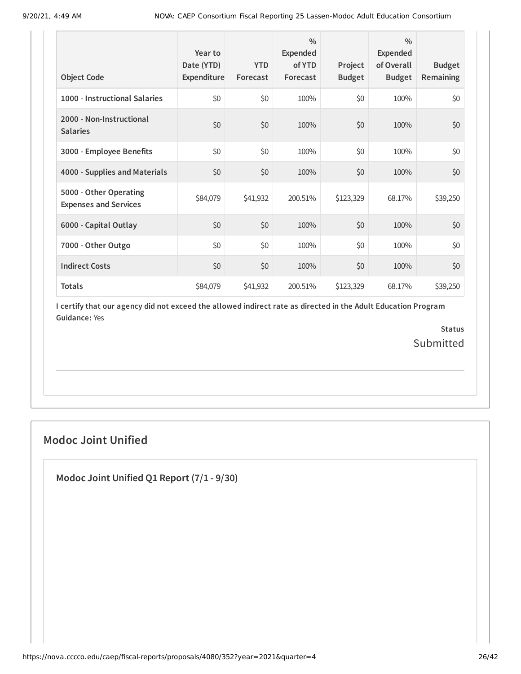| <b>Object Code</b>                                     | Year to<br>Date (YTD)<br>Expenditure | <b>YTD</b><br>Forecast | $\frac{0}{0}$<br>Expended<br>of YTD<br>Forecast | Project<br><b>Budget</b> | $\frac{0}{0}$<br>Expended<br>of Overall<br><b>Budget</b> | <b>Budget</b><br>Remaining |
|--------------------------------------------------------|--------------------------------------|------------------------|-------------------------------------------------|--------------------------|----------------------------------------------------------|----------------------------|
| 1000 - Instructional Salaries                          | \$0                                  | \$0                    | 100%                                            | \$0                      | 100%                                                     | \$0                        |
| 2000 - Non-Instructional<br><b>Salaries</b>            | \$0                                  | \$0                    | 100%                                            | \$0                      | 100%                                                     | \$0                        |
| 3000 - Employee Benefits                               | \$0                                  | \$0                    | 100%                                            | \$0                      | 100%                                                     | \$0                        |
| 4000 - Supplies and Materials                          | \$0                                  | \$0                    | 100%                                            | \$0                      | 100%                                                     | \$0                        |
| 5000 - Other Operating<br><b>Expenses and Services</b> | \$84,079                             | \$41,932               | 200.51%                                         | \$123,329                | 68.17%                                                   | \$39,250                   |
| 6000 - Capital Outlay                                  | \$0                                  | \$0                    | 100%                                            | \$0                      | 100%                                                     | \$0                        |
| 7000 - Other Outgo                                     | \$0                                  | \$0                    | 100%                                            | \$0                      | 100%                                                     | \$0                        |
| <b>Indirect Costs</b>                                  | \$0                                  | \$0                    | 100%                                            | \$0                      | 100%                                                     | \$0                        |
| <b>Totals</b>                                          | \$84,079                             | \$41,932               | 200.51%                                         | \$123,329                | 68.17%                                                   | \$39,250                   |

> **Status** Submitted

## **Modoc Joint Unified**

**Modoc Joint Unified Q1 Report (7/1 - 9/30)**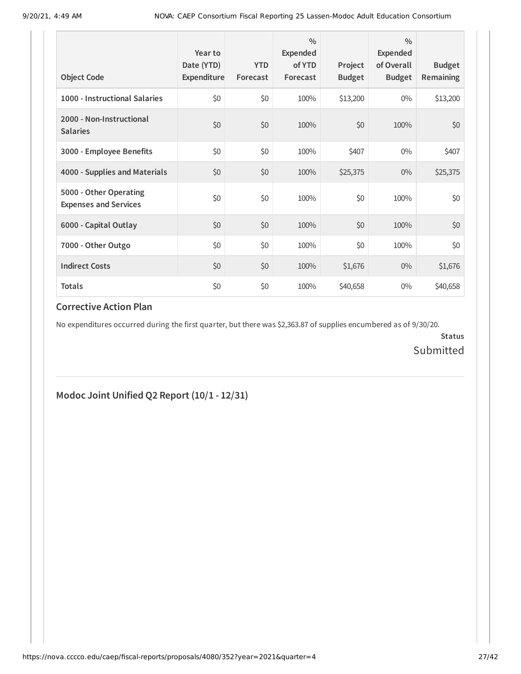| <b>Object Code</b>                                     | Year to<br>Date (YTD)<br>Expenditure | <b>YTD</b><br>Forecast | $\frac{0}{0}$<br>Expended<br>of YTD<br>Forecast | Project<br><b>Budget</b> | $\frac{0}{0}$<br>Expended<br>of Overall<br><b>Budget</b> | <b>Budget</b><br><b>Remaining</b> |
|--------------------------------------------------------|--------------------------------------|------------------------|-------------------------------------------------|--------------------------|----------------------------------------------------------|-----------------------------------|
| 1000 - Instructional Salaries                          | \$0                                  | \$0                    | 100%                                            | \$13,200                 | $0\%$                                                    | \$13,200                          |
| 2000 - Non-Instructional<br><b>Salaries</b>            | \$0                                  | \$0                    | 100%                                            | \$0                      | 100%                                                     | \$0                               |
| 3000 - Employee Benefits                               | \$0                                  | \$0                    | 100%                                            | \$407                    | $0\%$                                                    | \$407                             |
| 4000 - Supplies and Materials                          | \$0                                  | \$0                    | 100%                                            | \$25,375                 | $0\%$                                                    | \$25,375                          |
| 5000 - Other Operating<br><b>Expenses and Services</b> | \$0                                  | \$0                    | 100%                                            | \$0                      | 100%                                                     | \$0                               |
| 6000 - Capital Outlay                                  | \$0                                  | \$0                    | 100%                                            | \$0                      | 100%                                                     | \$0                               |
| 7000 - Other Outgo                                     | \$0                                  | \$0                    | 100%                                            | \$0                      | 100%                                                     | \$0                               |
| <b>Indirect Costs</b>                                  | \$0                                  | \$0                    | 100%                                            | \$1,676                  | $0\%$                                                    | \$1,676                           |
| <b>Totals</b>                                          | \$0                                  | \$0                    | 100%                                            | \$40,658                 | $0\%$                                                    | \$40,658                          |

No expenditures occurred during the first quarter, but there was \$2,363.87 of supplies encumbered as of 9/30/20.

**Status** Submitted

### **Modoc Joint Unified Q2 Report (10/1 - 12/31)**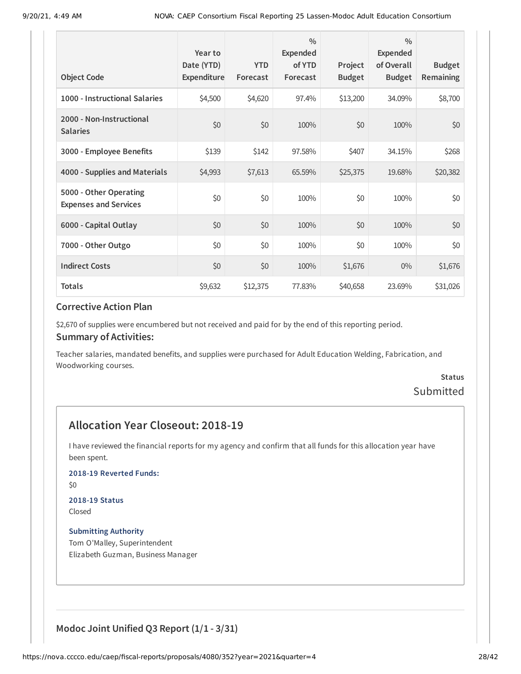| <b>Object Code</b>                                     | Year to<br>Date (YTD)<br>Expenditure | <b>YTD</b><br>Forecast | $\frac{0}{0}$<br>Expended<br>of YTD<br>Forecast | Project<br><b>Budget</b> | $\frac{0}{0}$<br><b>Expended</b><br>of Overall<br><b>Budget</b> | <b>Budget</b><br><b>Remaining</b> |
|--------------------------------------------------------|--------------------------------------|------------------------|-------------------------------------------------|--------------------------|-----------------------------------------------------------------|-----------------------------------|
| 1000 - Instructional Salaries                          | \$4,500                              | \$4,620                | 97.4%                                           | \$13,200                 | 34.09%                                                          | \$8,700                           |
| 2000 - Non-Instructional<br><b>Salaries</b>            | \$0                                  | \$0                    | 100%                                            | \$0                      | 100%                                                            | \$0                               |
| 3000 - Employee Benefits                               | \$139                                | \$142                  | 97.58%                                          | \$407                    | 34.15%                                                          | \$268                             |
| 4000 - Supplies and Materials                          | \$4,993                              | \$7,613                | 65.59%                                          | \$25,375                 | 19.68%                                                          | \$20,382                          |
| 5000 - Other Operating<br><b>Expenses and Services</b> | \$0                                  | \$0                    | 100%                                            | \$0                      | 100%                                                            | \$0                               |
| 6000 - Capital Outlay                                  | \$0                                  | \$0                    | 100%                                            | \$0                      | 100%                                                            | \$0                               |
| 7000 - Other Outgo                                     | \$0                                  | \$0                    | 100%                                            | \$0                      | 100%                                                            | \$0                               |
| <b>Indirect Costs</b>                                  | \$0                                  | \$0                    | 100%                                            | \$1,676                  | $0\%$                                                           | \$1,676                           |
| <b>Totals</b>                                          | \$9,632                              | \$12,375               | 77.83%                                          | \$40,658                 | 23.69%                                                          | \$31,026                          |

\$2,670 of supplies were encumbered but not received and paid for by the end of this reporting period.

#### **Summary of Activities:**

Teacher salaries, mandated benefits, and supplies were purchased for Adult Education Welding, Fabrication, and Woodworking courses.

## **Status** Submitted

## **Allocation Year Closeout: 2018-19**

I have reviewed the financial reports for my agency and confirm that all funds for this allocation year have been spent.

**2018-19 Reverted Funds:**

\$0

## **2018-19 Status**

Closed

**Submitting Authority** Tom O'Malley, Superintendent Elizabeth Guzman, Business Manager

**Modoc Joint Unified Q3 Report (1/1 - 3/31)**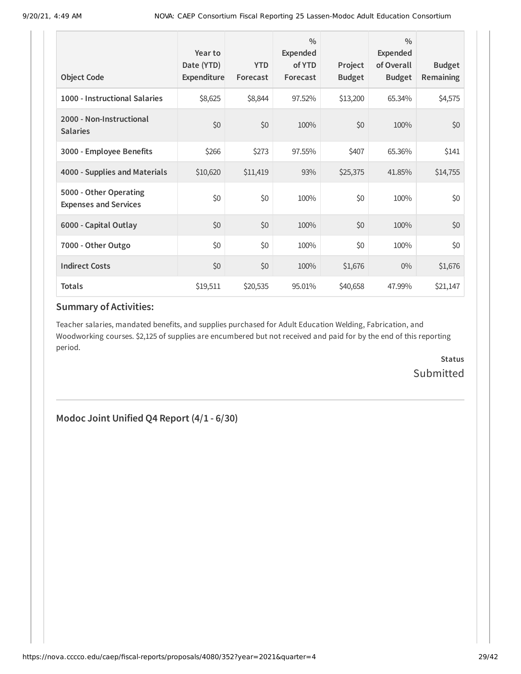| <b>Object Code</b>                                     | Year to<br>Date (YTD)<br><b>Expenditure</b> | <b>YTD</b><br>Forecast | $\frac{0}{0}$<br>Expended<br>of YTD<br>Forecast | Project<br><b>Budget</b> | $\frac{0}{0}$<br>Expended<br>of Overall<br><b>Budget</b> | <b>Budget</b><br><b>Remaining</b> |
|--------------------------------------------------------|---------------------------------------------|------------------------|-------------------------------------------------|--------------------------|----------------------------------------------------------|-----------------------------------|
| 1000 - Instructional Salaries                          | \$8,625                                     | \$8,844                | 97.52%                                          | \$13,200                 | 65.34%                                                   | \$4,575                           |
| 2000 - Non-Instructional<br><b>Salaries</b>            | \$0                                         | \$0                    | 100%                                            | \$0                      | 100%                                                     | \$0                               |
| 3000 - Employee Benefits                               | \$266                                       | \$273                  | 97.55%                                          | \$407                    | 65.36%                                                   | \$141                             |
| 4000 - Supplies and Materials                          | \$10,620                                    | \$11,419               | 93%                                             | \$25,375                 | 41.85%                                                   | \$14,755                          |
| 5000 - Other Operating<br><b>Expenses and Services</b> | \$0                                         | \$0                    | 100%                                            | \$0                      | 100%                                                     | \$0                               |
| 6000 - Capital Outlay                                  | \$0                                         | \$0                    | 100%                                            | \$0                      | 100%                                                     | \$0                               |
| 7000 - Other Outgo                                     | \$0                                         | \$0                    | 100%                                            | \$0                      | 100%                                                     | \$0                               |
| <b>Indirect Costs</b>                                  | \$0                                         | \$0                    | 100%                                            | \$1,676                  | $0\%$                                                    | \$1,676                           |
| <b>Totals</b>                                          | \$19,511                                    | \$20,535               | 95.01%                                          | \$40,658                 | 47.99%                                                   | \$21,147                          |

Teacher salaries, mandated benefits, and supplies purchased for Adult Education Welding, Fabrication, and Woodworking courses. \$2,125 of supplies are encumbered but not received and paid for by the end of this reporting period.

> **Status** Submitted

**Modoc Joint Unified Q4 Report (4/1 - 6/30)**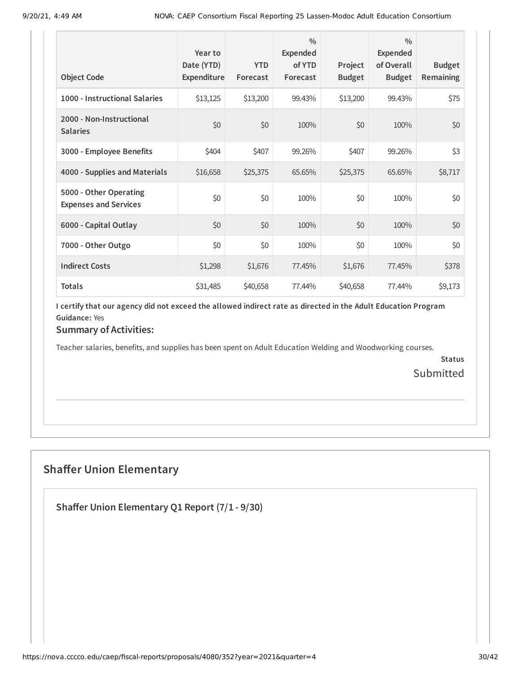| <b>Object Code</b>                                     | Year to<br>Date (YTD)<br>Expenditure | <b>YTD</b><br>Forecast | $\frac{0}{0}$<br>Expended<br>of YTD<br>Forecast | Project<br><b>Budget</b> | $\frac{0}{0}$<br>Expended<br>of Overall<br><b>Budget</b> | <b>Budget</b><br><b>Remaining</b> |
|--------------------------------------------------------|--------------------------------------|------------------------|-------------------------------------------------|--------------------------|----------------------------------------------------------|-----------------------------------|
| 1000 - Instructional Salaries                          | \$13,125                             | \$13,200               | 99.43%                                          | \$13,200                 | 99.43%                                                   | \$75                              |
| 2000 - Non-Instructional<br><b>Salaries</b>            | \$0                                  | \$0                    | 100%                                            | \$0                      | 100%                                                     | \$0                               |
| 3000 - Employee Benefits                               | \$404                                | \$407                  | 99.26%                                          | \$407                    | 99.26%                                                   | \$3                               |
| 4000 - Supplies and Materials                          | \$16,658                             | \$25,375               | 65.65%                                          | \$25,375                 | 65.65%                                                   | \$8,717                           |
| 5000 - Other Operating<br><b>Expenses and Services</b> | \$0                                  | \$0                    | 100%                                            | \$0                      | 100%                                                     | \$0                               |
| 6000 - Capital Outlay                                  | \$0                                  | \$0                    | 100%                                            | \$0                      | 100%                                                     | \$0                               |
| 7000 - Other Outgo                                     | \$0                                  | \$0                    | 100%                                            | \$0                      | 100%                                                     | \$0                               |
| <b>Indirect Costs</b>                                  | \$1,298                              | \$1,676                | 77.45%                                          | \$1,676                  | 77.45%                                                   | \$378                             |
| <b>Totals</b>                                          | \$31,485                             | \$40,658               | 77.44%                                          | \$40,658                 | 77.44%                                                   | \$9,173                           |

### **Summary of Activities:**

Teacher salaries, benefits, and supplies has been spent on Adult Education Welding and Woodworking courses.

**Status** Submitted

## **Shaffer Union Elementary**

**Shaffer Union Elementary Q1 Report (7/1 - 9/30)**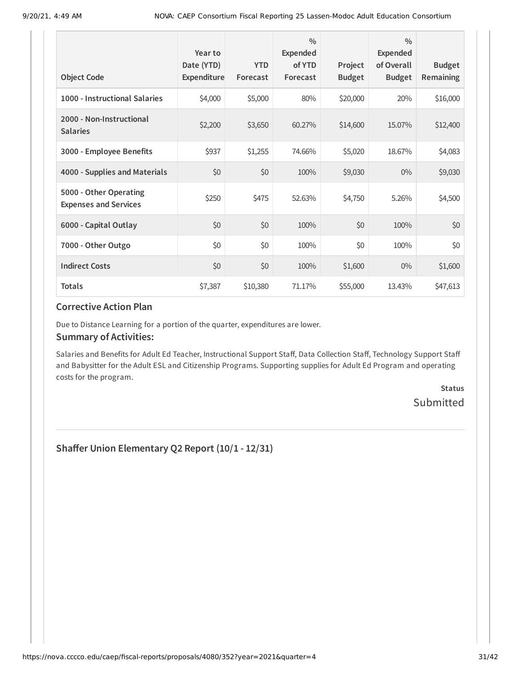|                                                        | Year to<br>Date (YTD) | <b>YTD</b> | $\frac{0}{0}$<br>Expended<br>of YTD | Project       | $\frac{0}{0}$<br><b>Expended</b><br>of Overall | <b>Budget</b> |
|--------------------------------------------------------|-----------------------|------------|-------------------------------------|---------------|------------------------------------------------|---------------|
| <b>Object Code</b>                                     | Expenditure           | Forecast   | Forecast                            | <b>Budget</b> | <b>Budget</b>                                  | Remaining     |
| 1000 - Instructional Salaries                          | \$4,000               | \$5,000    | 80%                                 | \$20,000      | 20%                                            | \$16,000      |
| 2000 - Non-Instructional<br><b>Salaries</b>            | \$2,200               | \$3,650    | 60.27%                              | \$14,600      | 15.07%                                         | \$12,400      |
| 3000 - Employee Benefits                               | \$937                 | \$1,255    | 74.66%                              | \$5,020       | 18.67%                                         | \$4,083       |
| 4000 - Supplies and Materials                          | \$0                   | \$0        | 100%                                | \$9,030       | $0\%$                                          | \$9,030       |
| 5000 - Other Operating<br><b>Expenses and Services</b> | \$250                 | \$475      | 52.63%                              | \$4,750       | 5.26%                                          | \$4,500       |
| 6000 - Capital Outlay                                  | \$0                   | \$0        | 100%                                | \$0           | 100%                                           | \$0           |
| 7000 - Other Outgo                                     | \$0                   | \$0        | 100%                                | \$0           | 100%                                           | \$0           |
| <b>Indirect Costs</b>                                  | \$0                   | \$0        | 100%                                | \$1,600       | $0\%$                                          | \$1,600       |
| <b>Totals</b>                                          | \$7,387               | \$10,380   | 71.17%                              | \$55,000      | 13.43%                                         | \$47,613      |

Due to Distance Learning for a portion of the quarter, expenditures are lower.

#### **Summary of Activities:**

Salaries and Benefits for Adult Ed Teacher, Instructional Support Staff, Data Collection Staff, Technology Support Staff and Babysitter for the Adult ESL and Citizenship Programs. Supporting supplies for Adult Ed Program and operating costs for the program.

> **Status** Submitted

**Shaffer Union Elementary Q2 Report (10/1 - 12/31)**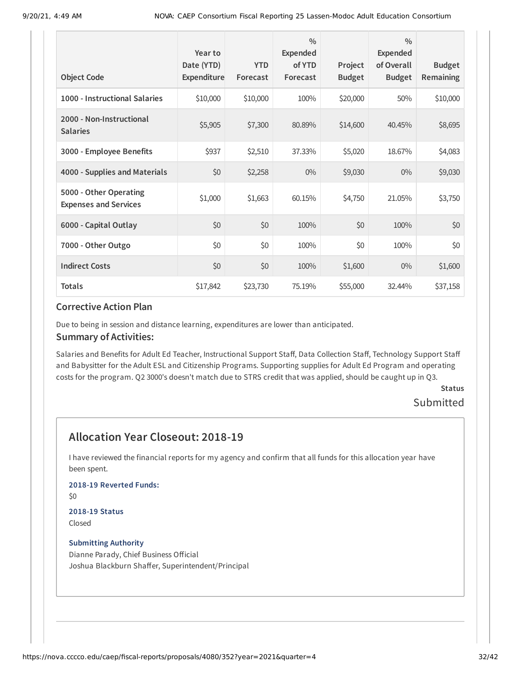|                                                        | Year to<br>Date (YTD) | <b>YTD</b> | $\frac{0}{0}$<br>Expended<br>of YTD | Project       | $\frac{0}{0}$<br><b>Expended</b><br>of Overall | <b>Budget</b> |
|--------------------------------------------------------|-----------------------|------------|-------------------------------------|---------------|------------------------------------------------|---------------|
| <b>Object Code</b>                                     | <b>Expenditure</b>    | Forecast   | Forecast                            | <b>Budget</b> | <b>Budget</b>                                  | Remaining     |
| 1000 - Instructional Salaries                          | \$10,000              | \$10,000   | 100%                                | \$20,000      | 50%                                            | \$10,000      |
| 2000 - Non-Instructional<br><b>Salaries</b>            | \$5,905               | \$7,300    | 80.89%                              | \$14,600      | 40.45%                                         | \$8,695       |
| 3000 - Employee Benefits                               | \$937                 | \$2,510    | 37.33%                              | \$5,020       | 18.67%                                         | \$4,083       |
| 4000 - Supplies and Materials                          | \$0                   | \$2,258    | $0\%$                               | \$9,030       | $0\%$                                          | \$9,030       |
| 5000 - Other Operating<br><b>Expenses and Services</b> | \$1,000               | \$1,663    | 60.15%                              | \$4,750       | 21.05%                                         | \$3,750       |
| 6000 - Capital Outlay                                  | \$0                   | \$0        | 100%                                | \$0           | 100%                                           | \$0           |
| 7000 - Other Outgo                                     | \$0                   | \$0        | 100%                                | \$0           | 100%                                           | \$0           |
| <b>Indirect Costs</b>                                  | \$0                   | \$0        | 100%                                | \$1,600       | $0\%$                                          | \$1,600       |
| <b>Totals</b>                                          | \$17,842              | \$23,730   | 75.19%                              | \$55,000      | 32.44%                                         | \$37,158      |

Due to being in session and distance learning, expenditures are lower than anticipated.

#### **Summary of Activities:**

Salaries and Benefits for Adult Ed Teacher, Instructional Support Staff, Data Collection Staff, Technology Support Staff and Babysitter for the Adult ESL and Citizenship Programs. Supporting supplies for Adult Ed Program and operating costs for the program. Q2 3000's doesn't match due to STRS credit that was applied, should be caught up in Q3.

## **Status**

### Submitted

## **Allocation Year Closeout: 2018-19**

I have reviewed the financial reports for my agency and confirm that all funds for this allocation year have been spent.

### **2018-19 Reverted Funds:**

\$0

#### **2018-19 Status** Closed

#### **Submitting Authority**

Dianne Parady, Chief Business Official Joshua Blackburn Shaffer, Superintendent/Principal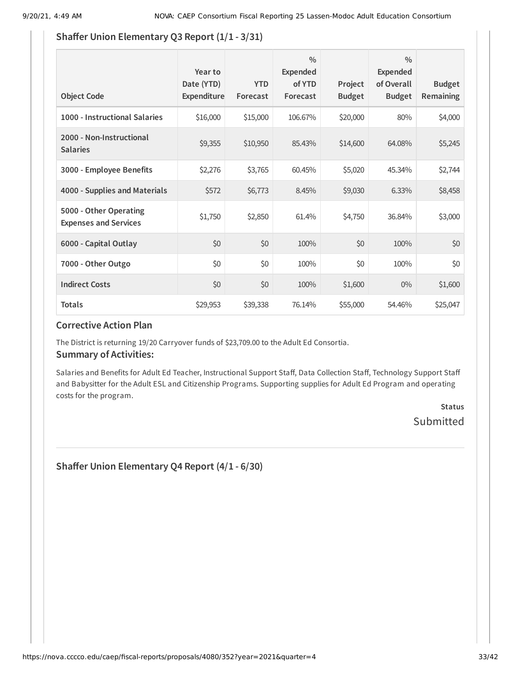### **Shaffer Union Elementary Q3 Report (1/1 - 3/31)**

| <b>Object Code</b>                                     | Year to<br>Date (YTD)<br>Expenditure | <b>YTD</b><br>Forecast | $\frac{0}{0}$<br>Expended<br>of YTD<br>Forecast | Project<br><b>Budget</b> | $\frac{0}{0}$<br><b>Expended</b><br>of Overall<br><b>Budget</b> | <b>Budget</b><br><b>Remaining</b> |
|--------------------------------------------------------|--------------------------------------|------------------------|-------------------------------------------------|--------------------------|-----------------------------------------------------------------|-----------------------------------|
| 1000 - Instructional Salaries                          | \$16,000                             | \$15,000               | 106.67%                                         | \$20,000                 | 80%                                                             | \$4,000                           |
| 2000 - Non-Instructional<br><b>Salaries</b>            | \$9,355                              | \$10,950               | 85.43%                                          | \$14,600                 | 64.08%                                                          | \$5,245                           |
| 3000 - Employee Benefits                               | \$2,276                              | \$3,765                | 60.45%                                          | \$5,020                  | 45.34%                                                          | \$2,744                           |
| 4000 - Supplies and Materials                          | \$572                                | \$6,773                | 8.45%                                           | \$9,030                  | 6.33%                                                           | \$8,458                           |
| 5000 - Other Operating<br><b>Expenses and Services</b> | \$1,750                              | \$2,850                | 61.4%                                           | \$4,750                  | 36.84%                                                          | \$3,000                           |
| 6000 - Capital Outlay                                  | \$0                                  | \$0                    | 100%                                            | \$0                      | 100%                                                            | \$0                               |
| 7000 - Other Outgo                                     | \$0                                  | \$0                    | 100%                                            | \$0                      | 100%                                                            | \$0                               |
| <b>Indirect Costs</b>                                  | \$0                                  | \$0                    | 100%                                            | \$1,600                  | $0\%$                                                           | \$1,600                           |
| <b>Totals</b>                                          | \$29,953                             | \$39,338               | 76.14%                                          | \$55,000                 | 54.46%                                                          | \$25,047                          |

### **Corrective Action Plan**

The District is returning 19/20 Carryover funds of \$23,709.00 to the Adult Ed Consortia.

### **Summary of Activities:**

Salaries and Benefits for Adult Ed Teacher, Instructional Support Staff, Data Collection Staff, Technology Support Staff and Babysitter for the Adult ESL and Citizenship Programs. Supporting supplies for Adult Ed Program and operating costs for the program.

## **Status** Submitted

**Shaffer Union Elementary Q4 Report (4/1 - 6/30)**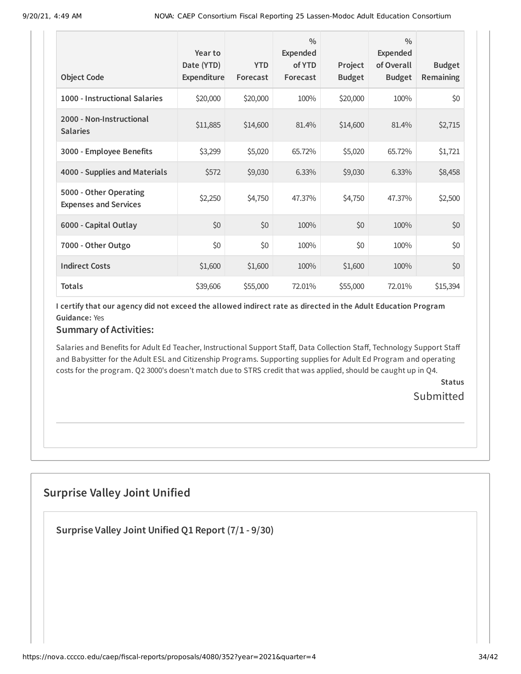| <b>Object Code</b>                                     | Year to<br>Date (YTD)<br><b>Expenditure</b> | <b>YTD</b><br>Forecast | $\frac{0}{0}$<br><b>Expended</b><br>of YTD<br>Forecast | Project<br><b>Budget</b> | $\frac{0}{0}$<br>Expended<br>of Overall<br><b>Budget</b> | <b>Budget</b><br><b>Remaining</b> |
|--------------------------------------------------------|---------------------------------------------|------------------------|--------------------------------------------------------|--------------------------|----------------------------------------------------------|-----------------------------------|
| 1000 - Instructional Salaries                          | \$20,000                                    | \$20,000               | 100%                                                   | \$20,000                 | 100%                                                     | \$0                               |
| 2000 - Non-Instructional<br><b>Salaries</b>            | \$11,885                                    | \$14,600               | 81.4%                                                  | \$14,600                 | 81.4%                                                    | \$2,715                           |
| 3000 - Employee Benefits                               | \$3,299                                     | \$5,020                | 65.72%                                                 | \$5,020                  | 65.72%                                                   | \$1,721                           |
| 4000 - Supplies and Materials                          | \$572                                       | \$9,030                | 6.33%                                                  | \$9,030                  | 6.33%                                                    | \$8,458                           |
| 5000 - Other Operating<br><b>Expenses and Services</b> | \$2,250                                     | \$4,750                | 47.37%                                                 | \$4,750                  | 47.37%                                                   | \$2,500                           |
| 6000 - Capital Outlay                                  | \$0                                         | \$0                    | 100%                                                   | \$0                      | 100%                                                     | \$0                               |
| 7000 - Other Outgo                                     | \$0                                         | \$0                    | 100%                                                   | \$0                      | 100%                                                     | \$0                               |
| <b>Indirect Costs</b>                                  | \$1,600                                     | \$1,600                | 100%                                                   | \$1,600                  | 100%                                                     | \$0                               |
| <b>Totals</b>                                          | \$39,606                                    | \$55,000               | 72.01%                                                 | \$55,000                 | 72.01%                                                   | \$15,394                          |

### **Summary of Activities:**

Salaries and Benefits for Adult Ed Teacher, Instructional Support Staff, Data Collection Staff, Technology Support Staff and Babysitter for the Adult ESL and Citizenship Programs. Supporting supplies for Adult Ed Program and operating costs for the program. Q2 3000's doesn't match due to STRS credit that was applied, should be caught up in Q4.

> **Status** Submitted

## **Surprise Valley Joint Unified**

**Surprise Valley Joint Unified Q1 Report (7/1 - 9/30)**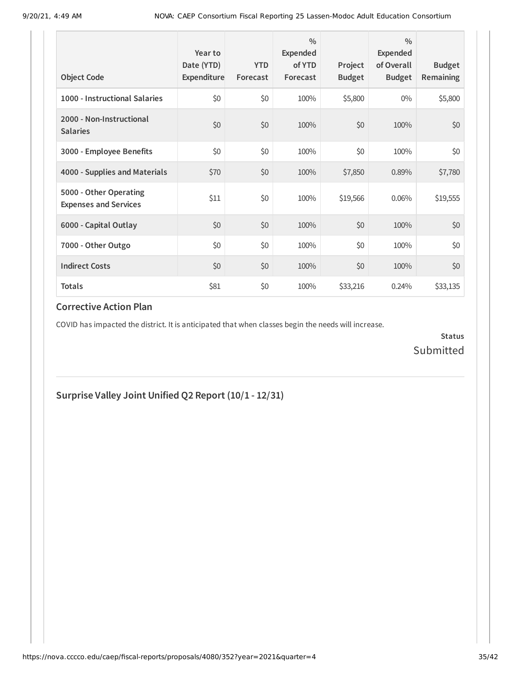| <b>Object Code</b>                                     | Year to<br>Date (YTD)<br>Expenditure | <b>YTD</b><br>Forecast | $\frac{0}{0}$<br>Expended<br>of YTD<br>Forecast | Project<br><b>Budget</b> | $\frac{0}{0}$<br>Expended<br>of Overall<br><b>Budget</b> | <b>Budget</b><br><b>Remaining</b> |
|--------------------------------------------------------|--------------------------------------|------------------------|-------------------------------------------------|--------------------------|----------------------------------------------------------|-----------------------------------|
| 1000 - Instructional Salaries                          | \$0                                  | \$0                    | 100%                                            | \$5,800                  | $0\%$                                                    | \$5,800                           |
| 2000 - Non-Instructional<br><b>Salaries</b>            | \$0                                  | \$0                    | 100%                                            | \$0                      | 100%                                                     | \$0                               |
| 3000 - Employee Benefits                               | \$0                                  | \$0                    | 100%                                            | \$0                      | 100%                                                     | \$0                               |
| 4000 - Supplies and Materials                          | \$70                                 | \$0                    | 100%                                            | \$7,850                  | 0.89%                                                    | \$7,780                           |
| 5000 - Other Operating<br><b>Expenses and Services</b> | \$11                                 | \$0                    | 100%                                            | \$19,566                 | 0.06%                                                    | \$19,555                          |
| 6000 - Capital Outlay                                  | \$0                                  | \$0                    | 100%                                            | \$0                      | 100%                                                     | \$0                               |
| 7000 - Other Outgo                                     | \$0                                  | \$0                    | 100%                                            | \$0                      | 100%                                                     | \$0                               |
| <b>Indirect Costs</b>                                  | \$0                                  | \$0                    | 100%                                            | \$0                      | 100%                                                     | \$0                               |
| <b>Totals</b>                                          | \$81                                 | \$0                    | 100%                                            | \$33,216                 | 0.24%                                                    | \$33,135                          |

COVID has impacted the district. It is anticipated that when classes begin the needs will increase.

**Status** Submitted

**Surprise Valley Joint Unified Q2 Report (10/1 - 12/31)**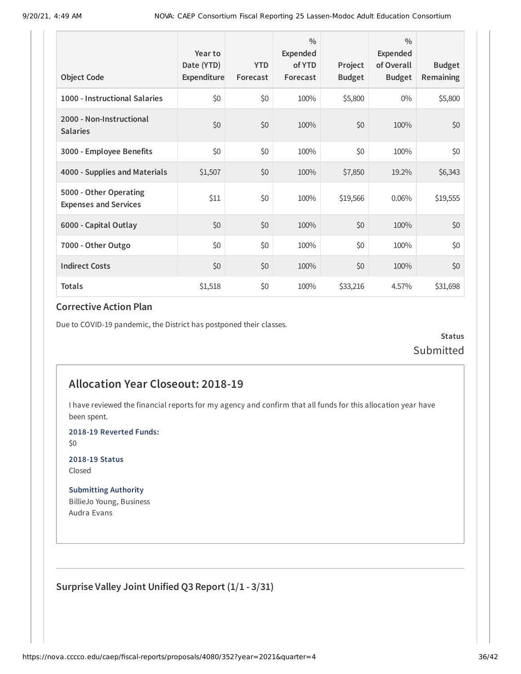| <b>Object Code</b>                                     | Year to<br>Date (YTD)<br>Expenditure | <b>YTD</b><br>Forecast | $\frac{0}{0}$<br>Expended<br>of YTD<br>Forecast | Project<br><b>Budget</b> | $\frac{0}{0}$<br><b>Expended</b><br>of Overall<br><b>Budget</b> | <b>Budget</b><br><b>Remaining</b> |
|--------------------------------------------------------|--------------------------------------|------------------------|-------------------------------------------------|--------------------------|-----------------------------------------------------------------|-----------------------------------|
| 1000 - Instructional Salaries                          | \$0                                  | \$0                    | 100%                                            | \$5,800                  | $0\%$                                                           | \$5,800                           |
| 2000 - Non-Instructional<br><b>Salaries</b>            | \$0                                  | \$0                    | 100%                                            | \$0                      | 100%                                                            | \$0                               |
| 3000 - Employee Benefits                               | \$0                                  | \$0                    | 100%                                            | \$0                      | 100%                                                            | \$0                               |
| 4000 - Supplies and Materials                          | \$1,507                              | \$0                    | 100%                                            | \$7,850                  | 19.2%                                                           | \$6,343                           |
| 5000 - Other Operating<br><b>Expenses and Services</b> | \$11                                 | \$0                    | 100%                                            | \$19,566                 | 0.06%                                                           | \$19,555                          |
| 6000 - Capital Outlay                                  | \$0                                  | \$0                    | 100%                                            | \$0                      | 100%                                                            | \$0                               |
| 7000 - Other Outgo                                     | \$0                                  | \$0                    | 100%                                            | \$0                      | 100%                                                            | \$0                               |
| <b>Indirect Costs</b>                                  | \$0                                  | \$0                    | 100%                                            | \$0                      | 100%                                                            | \$0                               |
| <b>Totals</b>                                          | \$1,518                              | \$0                    | 100%                                            | \$33,216                 | 4.57%                                                           | \$31,698                          |

Due to COVID-19 pandemic, the District has postponed their classes.

**Status** Submitted

### **Allocation Year Closeout: 2018-19**

I have reviewed the financial reports for my agency and confirm that all funds for this allocation year have been spent.

**2018-19 Reverted Funds:**

\$0

**2018-19 Status** Closed

**Submitting Authority** BillieJo Young, Business Audra Evans

**Surprise Valley Joint Unified Q3 Report (1/1 - 3/31)**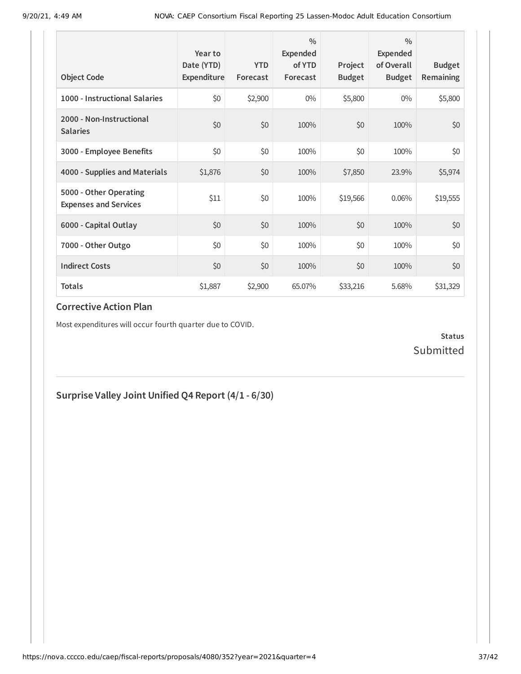| <b>Object Code</b>                                     | Year to<br>Date (YTD)<br>Expenditure | <b>YTD</b><br>Forecast | $\frac{0}{0}$<br>Expended<br>of YTD<br>Forecast | Project<br><b>Budget</b> | $\frac{0}{0}$<br>Expended<br>of Overall<br><b>Budget</b> | <b>Budget</b><br><b>Remaining</b> |
|--------------------------------------------------------|--------------------------------------|------------------------|-------------------------------------------------|--------------------------|----------------------------------------------------------|-----------------------------------|
| 1000 - Instructional Salaries                          | \$0                                  | \$2,900                | $0\%$                                           | \$5,800                  | $0\%$                                                    | \$5,800                           |
| 2000 - Non-Instructional<br><b>Salaries</b>            | \$0                                  | \$0                    | 100%                                            | \$0                      | 100%                                                     | \$0                               |
| 3000 - Employee Benefits                               | \$0                                  | \$0                    | 100%                                            | \$0                      | 100%                                                     | \$0                               |
| 4000 - Supplies and Materials                          | \$1,876                              | \$0                    | 100%                                            | \$7,850                  | 23.9%                                                    | \$5,974                           |
| 5000 - Other Operating<br><b>Expenses and Services</b> | \$11                                 | \$0                    | 100%                                            | \$19,566                 | 0.06%                                                    | \$19,555                          |
| 6000 - Capital Outlay                                  | \$0                                  | \$0                    | 100%                                            | \$0                      | 100%                                                     | \$0                               |
| 7000 - Other Outgo                                     | \$0                                  | \$0                    | 100%                                            | \$0                      | 100%                                                     | \$0                               |
| <b>Indirect Costs</b>                                  | \$0                                  | \$0                    | 100%                                            | \$0                      | 100%                                                     | \$0                               |
| <b>Totals</b>                                          | \$1,887                              | \$2,900                | 65.07%                                          | \$33,216                 | 5.68%                                                    | \$31,329                          |

Most expenditures will occur fourth quarter due to COVID.

### **Status** Submitted

### **Surprise Valley Joint Unified Q4 Report (4/1 - 6/30)**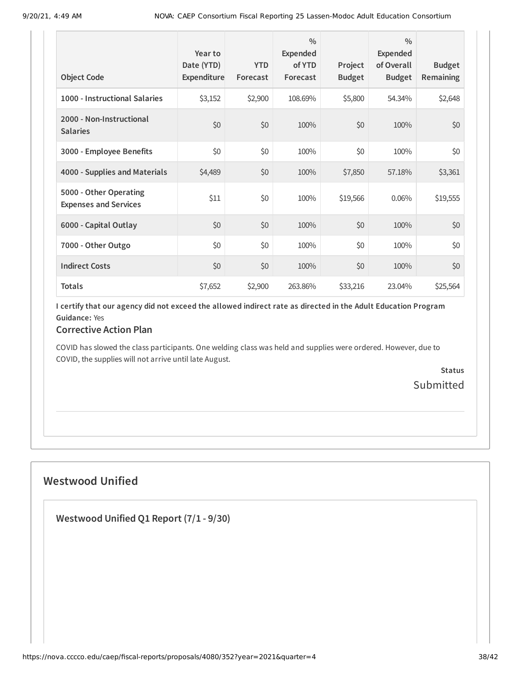| <b>Object Code</b>                                     | Year to<br>Date (YTD)<br>Expenditure | <b>YTD</b><br>Forecast | $\frac{0}{0}$<br>Expended<br>of YTD<br>Forecast | Project<br><b>Budget</b> | $\frac{0}{0}$<br>Expended<br>of Overall<br><b>Budget</b> | <b>Budget</b><br><b>Remaining</b> |
|--------------------------------------------------------|--------------------------------------|------------------------|-------------------------------------------------|--------------------------|----------------------------------------------------------|-----------------------------------|
| 1000 - Instructional Salaries                          | \$3,152                              | \$2,900                | 108.69%                                         | \$5,800                  | 54.34%                                                   | \$2,648                           |
| 2000 - Non-Instructional<br><b>Salaries</b>            | \$0                                  | \$0                    | 100%                                            | \$0                      | 100%                                                     | \$0                               |
| 3000 - Employee Benefits                               | \$0                                  | \$0                    | 100%                                            | \$0                      | 100%                                                     | \$0                               |
| 4000 - Supplies and Materials                          | \$4,489                              | \$0                    | 100%                                            | \$7,850                  | 57.18%                                                   | \$3,361                           |
| 5000 - Other Operating<br><b>Expenses and Services</b> | \$11                                 | \$0                    | 100%                                            | \$19,566                 | 0.06%                                                    | \$19,555                          |
| 6000 - Capital Outlay                                  | \$0                                  | \$0                    | 100%                                            | \$0                      | 100%                                                     | \$0                               |
| 7000 - Other Outgo                                     | \$0                                  | \$0                    | 100%                                            | \$0                      | 100%                                                     | \$0                               |
| <b>Indirect Costs</b>                                  | \$0                                  | \$0                    | 100%                                            | \$0                      | 100%                                                     | \$0                               |
| <b>Totals</b>                                          | \$7,652                              | \$2,900                | 263.86%                                         | \$33,216                 | 23.04%                                                   | \$25,564                          |

### **Corrective Action Plan**

COVID has slowed the class participants. One welding class was held and supplies were ordered. However, due to COVID, the supplies will not arrive until late August.

> **Status** Submitted

## **Westwood Unified**

**Westwood Unified Q1 Report (7/1 - 9/30)**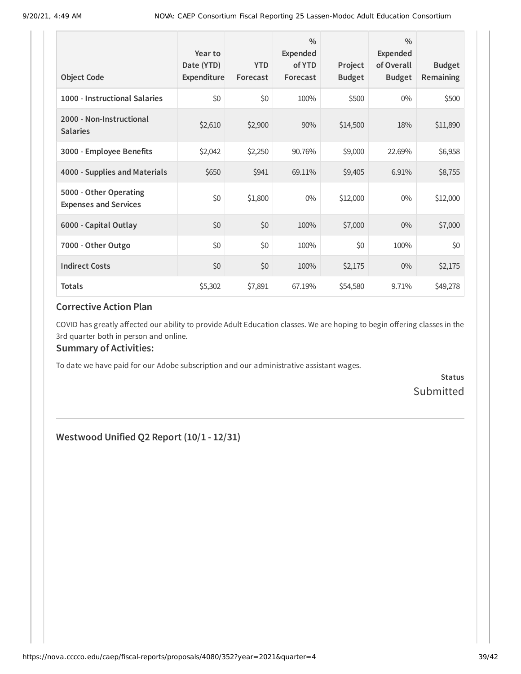| <b>Object Code</b>                                     | Year to<br>Date (YTD)<br>Expenditure | <b>YTD</b><br>Forecast | $\frac{0}{0}$<br>Expended<br>of YTD<br>Forecast | Project<br><b>Budget</b> | $\frac{0}{0}$<br><b>Expended</b><br>of Overall<br><b>Budget</b> | <b>Budget</b><br>Remaining |
|--------------------------------------------------------|--------------------------------------|------------------------|-------------------------------------------------|--------------------------|-----------------------------------------------------------------|----------------------------|
| 1000 - Instructional Salaries                          | \$0                                  | \$0                    | 100%                                            | \$500                    | $0\%$                                                           | \$500                      |
| 2000 - Non-Instructional<br><b>Salaries</b>            | \$2,610                              | \$2,900                | 90%                                             | \$14,500                 | 18%                                                             | \$11,890                   |
| 3000 - Employee Benefits                               | \$2,042                              | \$2,250                | 90.76%                                          | \$9,000                  | 22.69%                                                          | \$6,958                    |
| 4000 - Supplies and Materials                          | \$650                                | \$941                  | 69.11%                                          | \$9,405                  | 6.91%                                                           | \$8,755                    |
| 5000 - Other Operating<br><b>Expenses and Services</b> | \$0                                  | \$1,800                | $0\%$                                           | \$12,000                 | $0\%$                                                           | \$12,000                   |
| 6000 - Capital Outlay                                  | \$0                                  | \$0                    | 100%                                            | \$7,000                  | $0\%$                                                           | \$7,000                    |
| 7000 - Other Outgo                                     | \$0                                  | \$0                    | 100%                                            | \$0                      | 100%                                                            | \$0                        |
| <b>Indirect Costs</b>                                  | \$0                                  | \$0                    | 100%                                            | \$2,175                  | $0\%$                                                           | \$2,175                    |
| <b>Totals</b>                                          | \$5,302                              | \$7,891                | 67.19%                                          | \$54,580                 | 9.71%                                                           | \$49,278                   |

COVID has greatly affected our ability to provide Adult Education classes. We are hoping to begin offering classes in the 3rd quarter both in person and online.

### **Summary of Activities:**

To date we have paid for our Adobe subscription and our administrative assistant wages.

**Status** Submitted

**Westwood Unified Q2 Report (10/1 - 12/31)**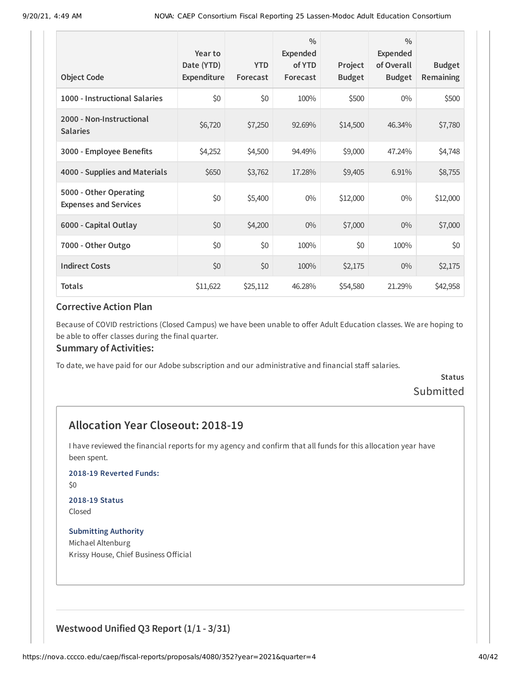| <b>Object Code</b>                                     | Year to<br>Date (YTD)<br>Expenditure | <b>YTD</b><br>Forecast | $\frac{0}{0}$<br>Expended<br>of YTD<br>Forecast | Project<br><b>Budget</b> | $\frac{0}{0}$<br><b>Expended</b><br>of Overall<br><b>Budget</b> | <b>Budget</b><br><b>Remaining</b> |
|--------------------------------------------------------|--------------------------------------|------------------------|-------------------------------------------------|--------------------------|-----------------------------------------------------------------|-----------------------------------|
| 1000 - Instructional Salaries                          | \$0                                  | \$0                    | 100%                                            | \$500                    | $0\%$                                                           | \$500                             |
| 2000 - Non-Instructional<br><b>Salaries</b>            | \$6,720                              | \$7,250                | 92.69%                                          | \$14,500                 | 46.34%                                                          | \$7,780                           |
| 3000 - Employee Benefits                               | \$4,252                              | \$4,500                | 94.49%                                          | \$9,000                  | 47.24%                                                          | \$4,748                           |
| 4000 - Supplies and Materials                          | \$650                                | \$3,762                | 17.28%                                          | \$9,405                  | 6.91%                                                           | \$8,755                           |
| 5000 - Other Operating<br><b>Expenses and Services</b> | \$0                                  | \$5,400                | $0\%$                                           | \$12,000                 | $0\%$                                                           | \$12,000                          |
| 6000 - Capital Outlay                                  | \$0                                  | \$4,200                | $0\%$                                           | \$7,000                  | $0\%$                                                           | \$7,000                           |
| 7000 - Other Outgo                                     | \$0                                  | \$0                    | 100%                                            | \$0                      | 100%                                                            | \$0                               |
| <b>Indirect Costs</b>                                  | \$0                                  | \$0                    | 100%                                            | \$2,175                  | $0\%$                                                           | \$2,175                           |
| <b>Totals</b>                                          | \$11,622                             | \$25,112               | 46.28%                                          | \$54,580                 | 21.29%                                                          | \$42,958                          |

Because of COVID restrictions (Closed Campus) we have been unable to offer Adult Education classes. We are hoping to be able to offer classes during the final quarter.

#### **Summary of Activities:**

To date, we have paid for our Adobe subscription and our administrative and financial staff salaries.

### **Status** Submitted

### **Allocation Year Closeout: 2018-19**

I have reviewed the financial reports for my agency and confirm that all funds for this allocation year have been spent.

**2018-19 Reverted Funds:**

\$0

## **2018-19 Status**

Closed

**Submitting Authority** Michael Altenburg Krissy House, Chief Business Official

### **Westwood Unified Q3 Report (1/1 - 3/31)**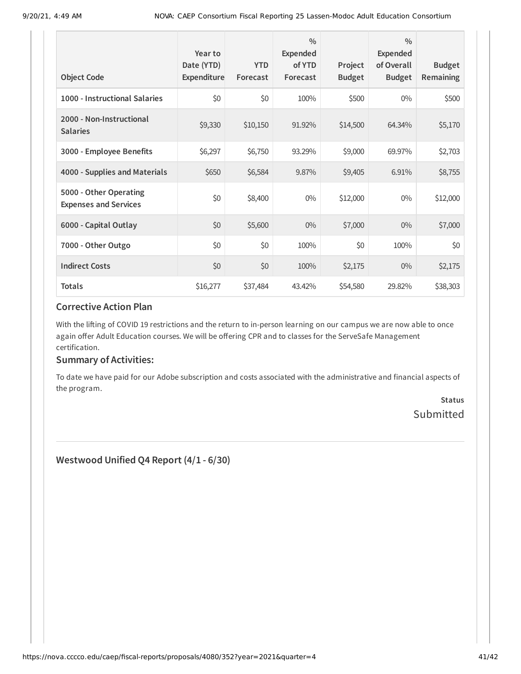| <b>Object Code</b>                                     | Year to<br>Date (YTD)<br>Expenditure | <b>YTD</b><br>Forecast | $\frac{0}{0}$<br>Expended<br>of YTD<br>Forecast | Project<br><b>Budget</b> | $\frac{0}{0}$<br>Expended<br>of Overall<br><b>Budget</b> | <b>Budget</b><br>Remaining |
|--------------------------------------------------------|--------------------------------------|------------------------|-------------------------------------------------|--------------------------|----------------------------------------------------------|----------------------------|
| 1000 - Instructional Salaries                          | \$0                                  | \$0                    | 100%                                            | \$500                    | $0\%$                                                    | \$500                      |
| 2000 - Non-Instructional<br><b>Salaries</b>            | \$9,330                              | \$10,150               | 91.92%                                          | \$14,500                 | 64.34%                                                   | \$5,170                    |
| 3000 - Employee Benefits                               | \$6,297                              | \$6,750                | 93.29%                                          | \$9,000                  | 69.97%                                                   | \$2,703                    |
| 4000 - Supplies and Materials                          | \$650                                | \$6,584                | 9.87%                                           | \$9,405                  | 6.91%                                                    | \$8,755                    |
| 5000 - Other Operating<br><b>Expenses and Services</b> | \$0                                  | \$8,400                | $0\%$                                           | \$12,000                 | $0\%$                                                    | \$12,000                   |
| 6000 - Capital Outlay                                  | \$0                                  | \$5,600                | $0\%$                                           | \$7,000                  | $0\%$                                                    | \$7,000                    |
| 7000 - Other Outgo                                     | \$0                                  | \$0                    | 100%                                            | \$0                      | 100%                                                     | \$0                        |
| <b>Indirect Costs</b>                                  | \$0                                  | \$0                    | 100%                                            | \$2,175                  | $0\%$                                                    | \$2,175                    |
| <b>Totals</b>                                          | \$16,277                             | \$37,484               | 43.42%                                          | \$54,580                 | 29.82%                                                   | \$38,303                   |

With the lifting of COVID 19 restrictions and the return to in-person learning on our campus we are now able to once again offer Adult Education courses. We will be offering CPR and to classes for the ServeSafe Management certification.

### **Summary of Activities:**

To date we have paid for our Adobe subscription and costs associated with the administrative and financial aspects of the program.

> **Status** Submitted

**Westwood Unified Q4 Report (4/1 - 6/30)**